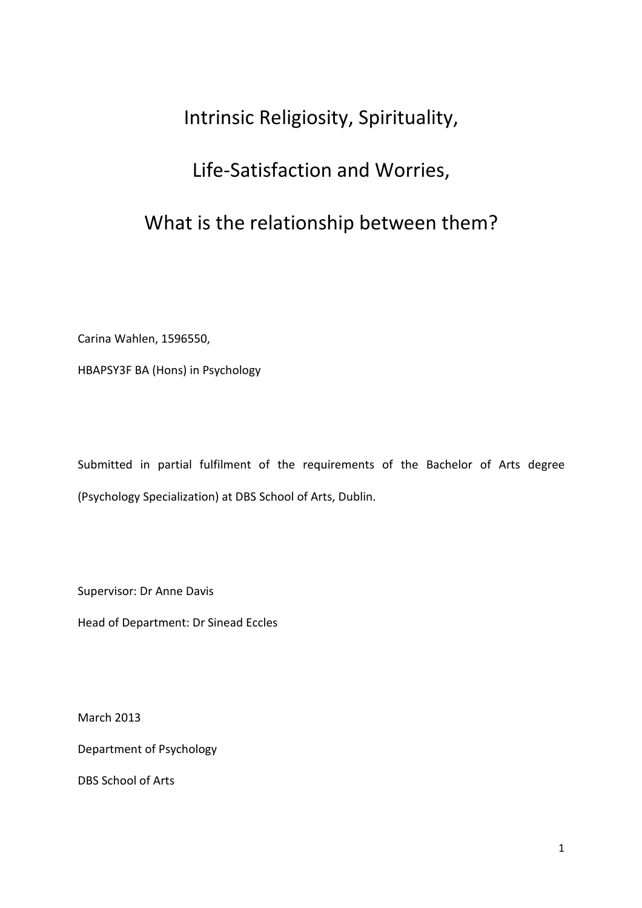# Intrinsic Religiosity, Spirituality,

# Life-Satisfaction and Worries,

# What is the relationship between them?

Carina Wahlen, 1596550,

HBAPSY3F BA (Hons) in Psychology

Submitted in partial fulfilment of the requirements of the Bachelor of Arts degree (Psychology Specialization) at DBS School of Arts, Dublin.

Supervisor: Dr Anne Davis

Head of Department: Dr Sinead Eccles

March 2013

Department of Psychology

DBS School of Arts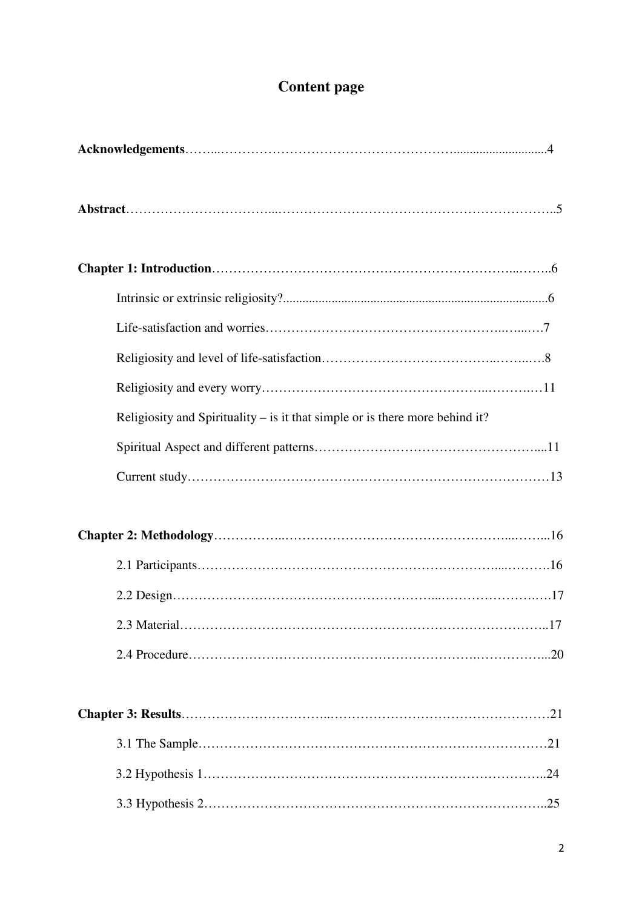# **Content page**

| Religiosity and Spirituality – is it that simple or is there more behind it? |
|------------------------------------------------------------------------------|
|                                                                              |
|                                                                              |
|                                                                              |
|                                                                              |
|                                                                              |
|                                                                              |
|                                                                              |
|                                                                              |
|                                                                              |
|                                                                              |
|                                                                              |
|                                                                              |
|                                                                              |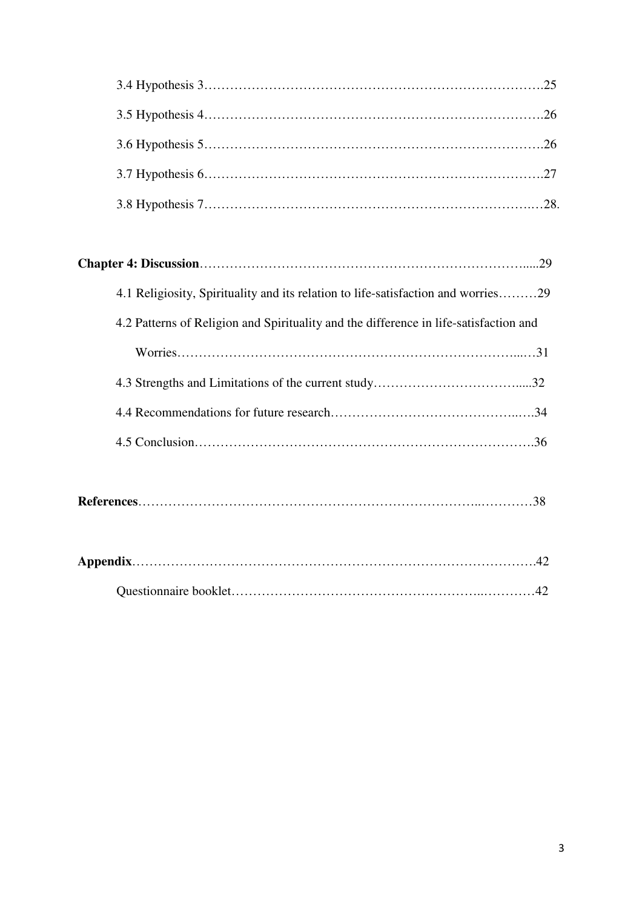| 4.1 Religiosity, Spirituality and its relation to life-satisfaction and worries29     |
|---------------------------------------------------------------------------------------|
| 4.2 Patterns of Religion and Spirituality and the difference in life-satisfaction and |
|                                                                                       |
|                                                                                       |
|                                                                                       |
|                                                                                       |
|                                                                                       |
|                                                                                       |
|                                                                                       |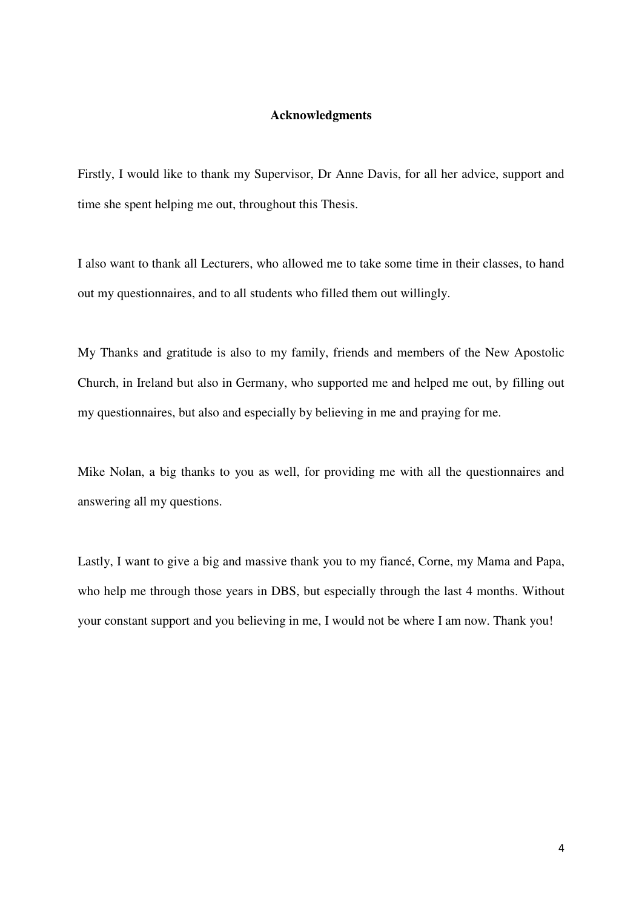#### **Acknowledgments**

Firstly, I would like to thank my Supervisor, Dr Anne Davis, for all her advice, support and time she spent helping me out, throughout this Thesis.

I also want to thank all Lecturers, who allowed me to take some time in their classes, to hand out my questionnaires, and to all students who filled them out willingly.

My Thanks and gratitude is also to my family, friends and members of the New Apostolic Church, in Ireland but also in Germany, who supported me and helped me out, by filling out my questionnaires, but also and especially by believing in me and praying for me.

Mike Nolan, a big thanks to you as well, for providing me with all the questionnaires and answering all my questions.

Lastly, I want to give a big and massive thank you to my fiancé, Corne, my Mama and Papa, who help me through those years in DBS, but especially through the last 4 months. Without your constant support and you believing in me, I would not be where I am now. Thank you!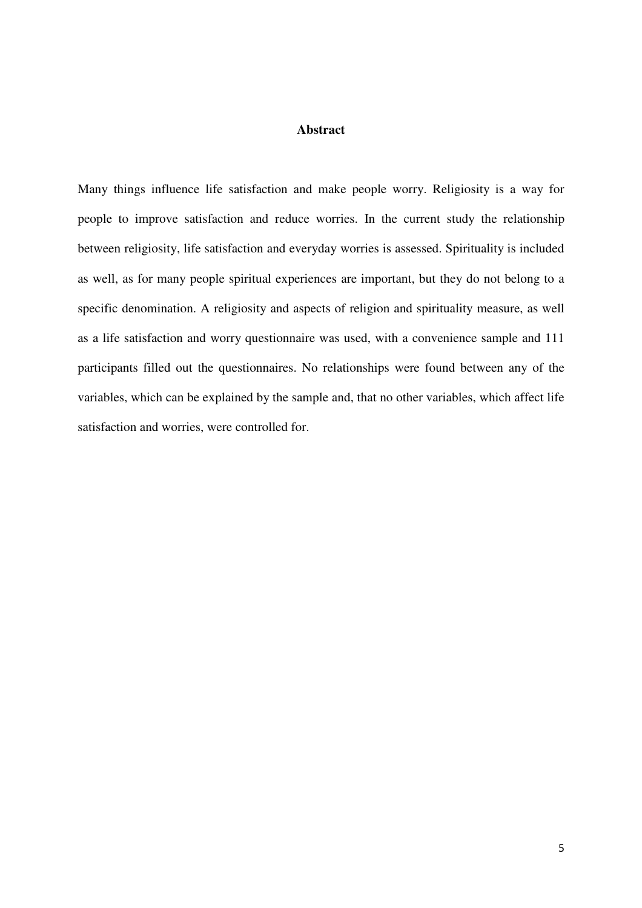#### **Abstract**

Many things influence life satisfaction and make people worry. Religiosity is a way for people to improve satisfaction and reduce worries. In the current study the relationship between religiosity, life satisfaction and everyday worries is assessed. Spirituality is included as well, as for many people spiritual experiences are important, but they do not belong to a specific denomination. A religiosity and aspects of religion and spirituality measure, as well as a life satisfaction and worry questionnaire was used, with a convenience sample and 111 participants filled out the questionnaires. No relationships were found between any of the variables, which can be explained by the sample and, that no other variables, which affect life satisfaction and worries, were controlled for.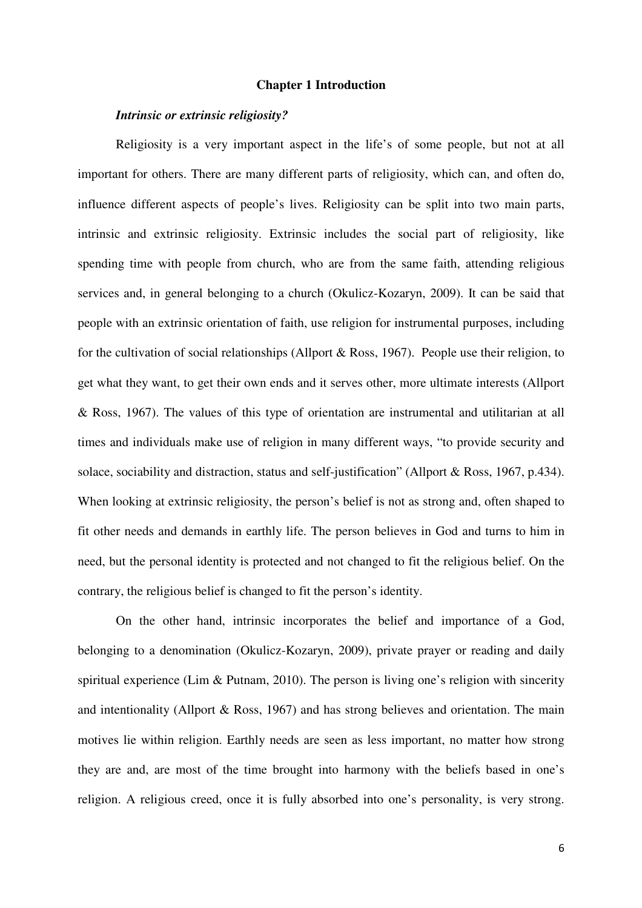#### **Chapter 1 Introduction**

#### *Intrinsic or extrinsic religiosity?*

Religiosity is a very important aspect in the life's of some people, but not at all important for others. There are many different parts of religiosity, which can, and often do, influence different aspects of people's lives. Religiosity can be split into two main parts, intrinsic and extrinsic religiosity. Extrinsic includes the social part of religiosity, like spending time with people from church, who are from the same faith, attending religious services and, in general belonging to a church (Okulicz-Kozaryn, 2009). It can be said that people with an extrinsic orientation of faith, use religion for instrumental purposes, including for the cultivation of social relationships (Allport & Ross, 1967). People use their religion, to get what they want, to get their own ends and it serves other, more ultimate interests (Allport & Ross, 1967). The values of this type of orientation are instrumental and utilitarian at all times and individuals make use of religion in many different ways, "to provide security and solace, sociability and distraction, status and self-justification" (Allport & Ross, 1967, p.434). When looking at extrinsic religiosity, the person's belief is not as strong and, often shaped to fit other needs and demands in earthly life. The person believes in God and turns to him in need, but the personal identity is protected and not changed to fit the religious belief. On the contrary, the religious belief is changed to fit the person's identity.

On the other hand, intrinsic incorporates the belief and importance of a God, belonging to a denomination (Okulicz-Kozaryn, 2009), private prayer or reading and daily spiritual experience (Lim & Putnam, 2010). The person is living one's religion with sincerity and intentionality (Allport & Ross, 1967) and has strong believes and orientation. The main motives lie within religion. Earthly needs are seen as less important, no matter how strong they are and, are most of the time brought into harmony with the beliefs based in one's religion. A religious creed, once it is fully absorbed into one's personality, is very strong.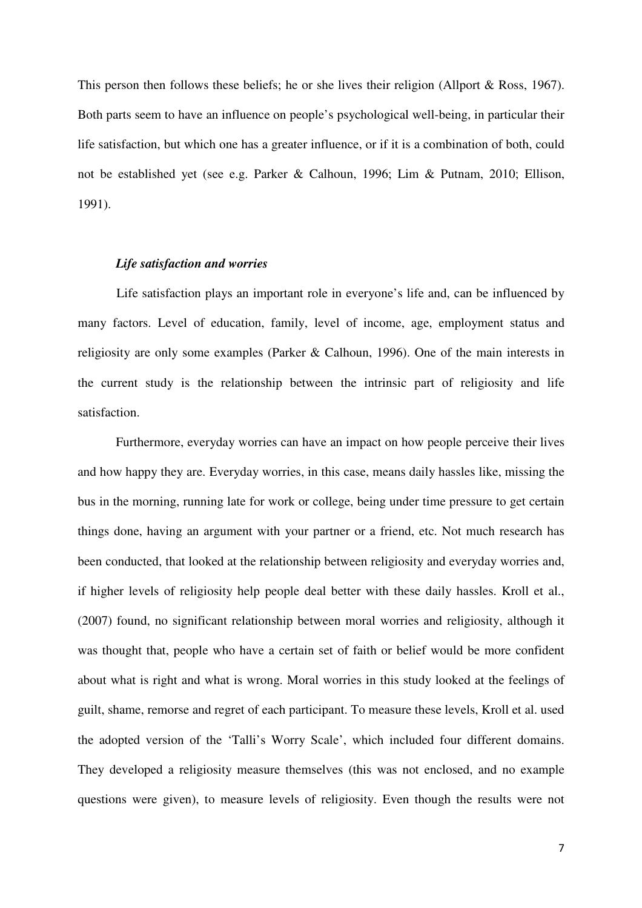This person then follows these beliefs; he or she lives their religion (Allport & Ross, 1967). Both parts seem to have an influence on people's psychological well-being, in particular their life satisfaction, but which one has a greater influence, or if it is a combination of both, could not be established yet (see e.g. Parker & Calhoun, 1996; Lim & Putnam, 2010; Ellison, 1991).

#### *Life satisfaction and worries*

 Life satisfaction plays an important role in everyone's life and, can be influenced by many factors. Level of education, family, level of income, age, employment status and religiosity are only some examples (Parker & Calhoun, 1996). One of the main interests in the current study is the relationship between the intrinsic part of religiosity and life satisfaction.

Furthermore, everyday worries can have an impact on how people perceive their lives and how happy they are. Everyday worries, in this case, means daily hassles like, missing the bus in the morning, running late for work or college, being under time pressure to get certain things done, having an argument with your partner or a friend, etc. Not much research has been conducted, that looked at the relationship between religiosity and everyday worries and, if higher levels of religiosity help people deal better with these daily hassles. Kroll et al., (2007) found, no significant relationship between moral worries and religiosity, although it was thought that, people who have a certain set of faith or belief would be more confident about what is right and what is wrong. Moral worries in this study looked at the feelings of guilt, shame, remorse and regret of each participant. To measure these levels, Kroll et al. used the adopted version of the 'Talli's Worry Scale', which included four different domains. They developed a religiosity measure themselves (this was not enclosed, and no example questions were given), to measure levels of religiosity. Even though the results were not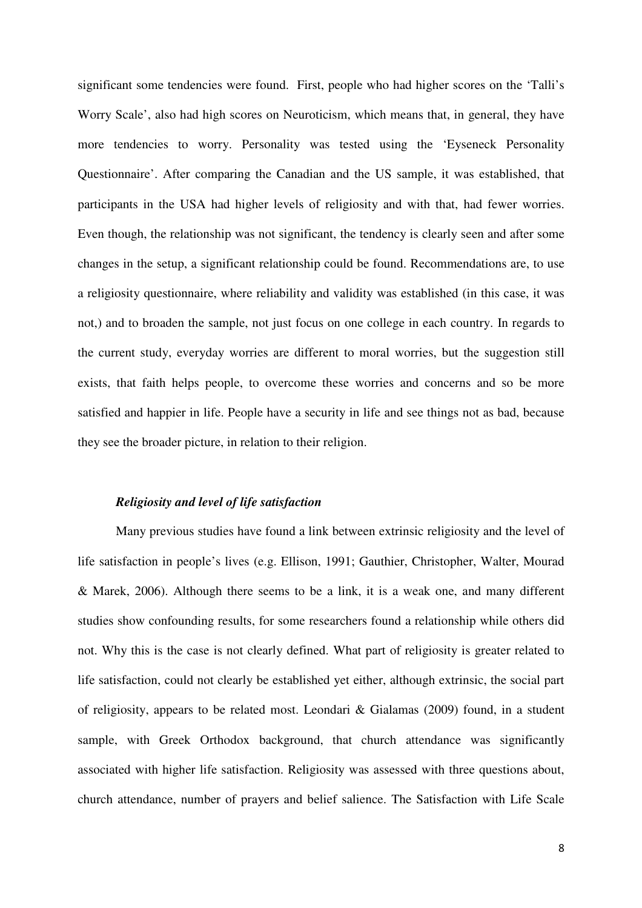significant some tendencies were found. First, people who had higher scores on the 'Talli's Worry Scale', also had high scores on Neuroticism, which means that, in general, they have more tendencies to worry. Personality was tested using the 'Eyseneck Personality Questionnaire'. After comparing the Canadian and the US sample, it was established, that participants in the USA had higher levels of religiosity and with that, had fewer worries. Even though, the relationship was not significant, the tendency is clearly seen and after some changes in the setup, a significant relationship could be found. Recommendations are, to use a religiosity questionnaire, where reliability and validity was established (in this case, it was not,) and to broaden the sample, not just focus on one college in each country. In regards to the current study, everyday worries are different to moral worries, but the suggestion still exists, that faith helps people, to overcome these worries and concerns and so be more satisfied and happier in life. People have a security in life and see things not as bad, because they see the broader picture, in relation to their religion.

#### *Religiosity and level of life satisfaction*

Many previous studies have found a link between extrinsic religiosity and the level of life satisfaction in people's lives (e.g. Ellison, 1991; Gauthier, Christopher, Walter, Mourad & Marek, 2006). Although there seems to be a link, it is a weak one, and many different studies show confounding results, for some researchers found a relationship while others did not. Why this is the case is not clearly defined. What part of religiosity is greater related to life satisfaction, could not clearly be established yet either, although extrinsic, the social part of religiosity, appears to be related most. Leondari & Gialamas (2009) found, in a student sample, with Greek Orthodox background, that church attendance was significantly associated with higher life satisfaction. Religiosity was assessed with three questions about, church attendance, number of prayers and belief salience. The Satisfaction with Life Scale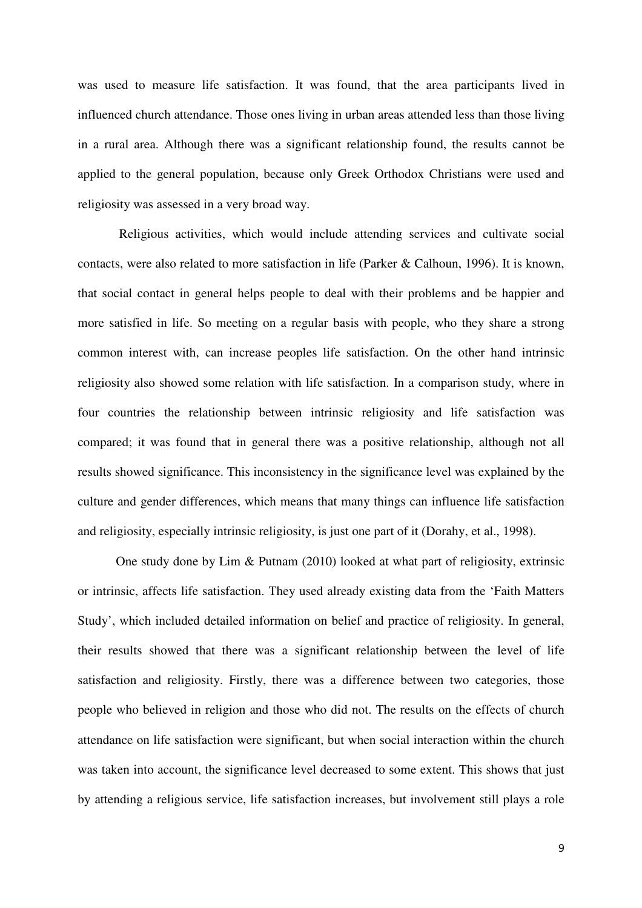was used to measure life satisfaction. It was found, that the area participants lived in influenced church attendance. Those ones living in urban areas attended less than those living in a rural area. Although there was a significant relationship found, the results cannot be applied to the general population, because only Greek Orthodox Christians were used and religiosity was assessed in a very broad way.

 Religious activities, which would include attending services and cultivate social contacts, were also related to more satisfaction in life (Parker & Calhoun, 1996). It is known, that social contact in general helps people to deal with their problems and be happier and more satisfied in life. So meeting on a regular basis with people, who they share a strong common interest with, can increase peoples life satisfaction. On the other hand intrinsic religiosity also showed some relation with life satisfaction. In a comparison study, where in four countries the relationship between intrinsic religiosity and life satisfaction was compared; it was found that in general there was a positive relationship, although not all results showed significance. This inconsistency in the significance level was explained by the culture and gender differences, which means that many things can influence life satisfaction and religiosity, especially intrinsic religiosity, is just one part of it (Dorahy, et al., 1998).

One study done by Lim & Putnam (2010) looked at what part of religiosity, extrinsic or intrinsic, affects life satisfaction. They used already existing data from the 'Faith Matters Study', which included detailed information on belief and practice of religiosity. In general, their results showed that there was a significant relationship between the level of life satisfaction and religiosity. Firstly, there was a difference between two categories, those people who believed in religion and those who did not. The results on the effects of church attendance on life satisfaction were significant, but when social interaction within the church was taken into account, the significance level decreased to some extent. This shows that just by attending a religious service, life satisfaction increases, but involvement still plays a role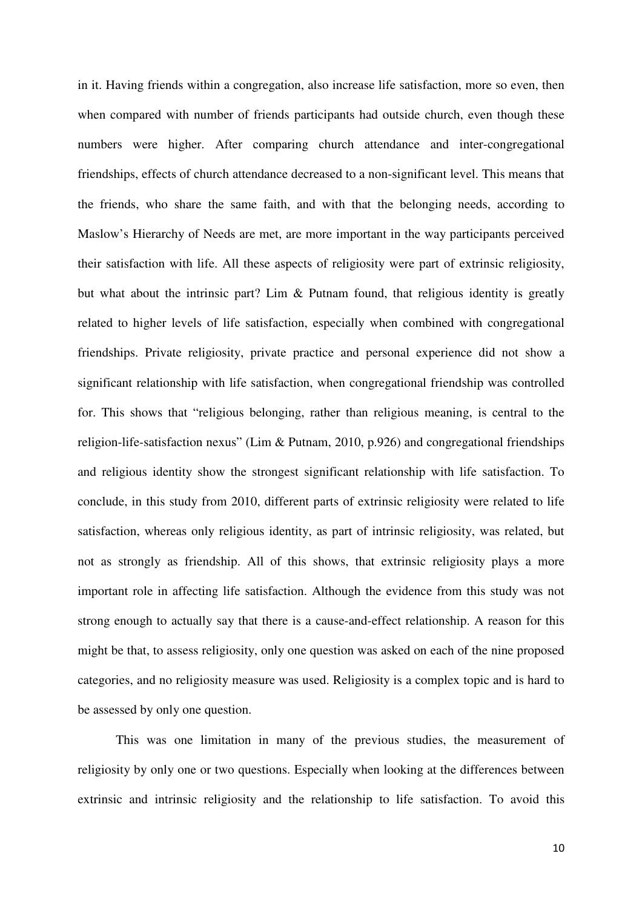in it. Having friends within a congregation, also increase life satisfaction, more so even, then when compared with number of friends participants had outside church, even though these numbers were higher. After comparing church attendance and inter-congregational friendships, effects of church attendance decreased to a non-significant level. This means that the friends, who share the same faith, and with that the belonging needs, according to Maslow's Hierarchy of Needs are met, are more important in the way participants perceived their satisfaction with life. All these aspects of religiosity were part of extrinsic religiosity, but what about the intrinsic part? Lim & Putnam found, that religious identity is greatly related to higher levels of life satisfaction, especially when combined with congregational friendships. Private religiosity, private practice and personal experience did not show a significant relationship with life satisfaction, when congregational friendship was controlled for. This shows that "religious belonging, rather than religious meaning, is central to the religion-life-satisfaction nexus" (Lim & Putnam, 2010, p.926) and congregational friendships and religious identity show the strongest significant relationship with life satisfaction. To conclude, in this study from 2010, different parts of extrinsic religiosity were related to life satisfaction, whereas only religious identity, as part of intrinsic religiosity, was related, but not as strongly as friendship. All of this shows, that extrinsic religiosity plays a more important role in affecting life satisfaction. Although the evidence from this study was not strong enough to actually say that there is a cause-and-effect relationship. A reason for this might be that, to assess religiosity, only one question was asked on each of the nine proposed categories, and no religiosity measure was used. Religiosity is a complex topic and is hard to be assessed by only one question.

This was one limitation in many of the previous studies, the measurement of religiosity by only one or two questions. Especially when looking at the differences between extrinsic and intrinsic religiosity and the relationship to life satisfaction. To avoid this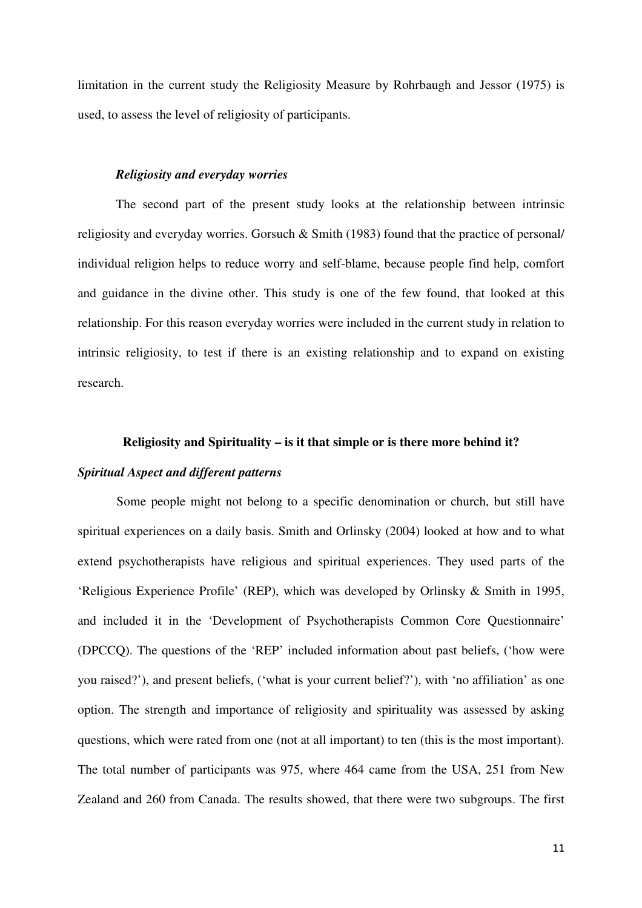limitation in the current study the Religiosity Measure by Rohrbaugh and Jessor (1975) is used, to assess the level of religiosity of participants.

#### *Religiosity and everyday worries*

The second part of the present study looks at the relationship between intrinsic religiosity and everyday worries. Gorsuch & Smith (1983) found that the practice of personal/ individual religion helps to reduce worry and self-blame, because people find help, comfort and guidance in the divine other. This study is one of the few found, that looked at this relationship. For this reason everyday worries were included in the current study in relation to intrinsic religiosity, to test if there is an existing relationship and to expand on existing research.

# **Religiosity and Spirituality – is it that simple or is there more behind it?**

### *Spiritual Aspect and different patterns*

Some people might not belong to a specific denomination or church, but still have spiritual experiences on a daily basis. Smith and Orlinsky (2004) looked at how and to what extend psychotherapists have religious and spiritual experiences. They used parts of the 'Religious Experience Profile' (REP), which was developed by Orlinsky & Smith in 1995, and included it in the 'Development of Psychotherapists Common Core Questionnaire' (DPCCQ). The questions of the 'REP' included information about past beliefs, ('how were you raised?'), and present beliefs, ('what is your current belief?'), with 'no affiliation' as one option. The strength and importance of religiosity and spirituality was assessed by asking questions, which were rated from one (not at all important) to ten (this is the most important). The total number of participants was 975, where 464 came from the USA, 251 from New Zealand and 260 from Canada. The results showed, that there were two subgroups. The first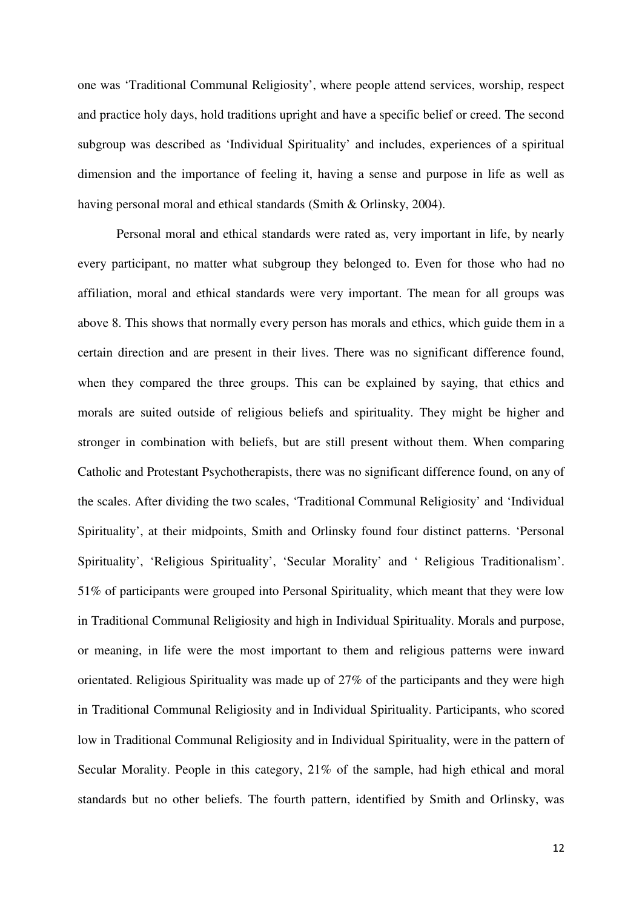one was 'Traditional Communal Religiosity', where people attend services, worship, respect and practice holy days, hold traditions upright and have a specific belief or creed. The second subgroup was described as 'Individual Spirituality' and includes, experiences of a spiritual dimension and the importance of feeling it, having a sense and purpose in life as well as having personal moral and ethical standards (Smith & Orlinsky, 2004).

Personal moral and ethical standards were rated as, very important in life, by nearly every participant, no matter what subgroup they belonged to. Even for those who had no affiliation, moral and ethical standards were very important. The mean for all groups was above 8. This shows that normally every person has morals and ethics, which guide them in a certain direction and are present in their lives. There was no significant difference found, when they compared the three groups. This can be explained by saying, that ethics and morals are suited outside of religious beliefs and spirituality. They might be higher and stronger in combination with beliefs, but are still present without them. When comparing Catholic and Protestant Psychotherapists, there was no significant difference found, on any of the scales. After dividing the two scales, 'Traditional Communal Religiosity' and 'Individual Spirituality', at their midpoints, Smith and Orlinsky found four distinct patterns. 'Personal Spirituality', 'Religious Spirituality', 'Secular Morality' and ' Religious Traditionalism'. 51% of participants were grouped into Personal Spirituality, which meant that they were low in Traditional Communal Religiosity and high in Individual Spirituality. Morals and purpose, or meaning, in life were the most important to them and religious patterns were inward orientated. Religious Spirituality was made up of 27% of the participants and they were high in Traditional Communal Religiosity and in Individual Spirituality. Participants, who scored low in Traditional Communal Religiosity and in Individual Spirituality, were in the pattern of Secular Morality. People in this category, 21% of the sample, had high ethical and moral standards but no other beliefs. The fourth pattern, identified by Smith and Orlinsky, was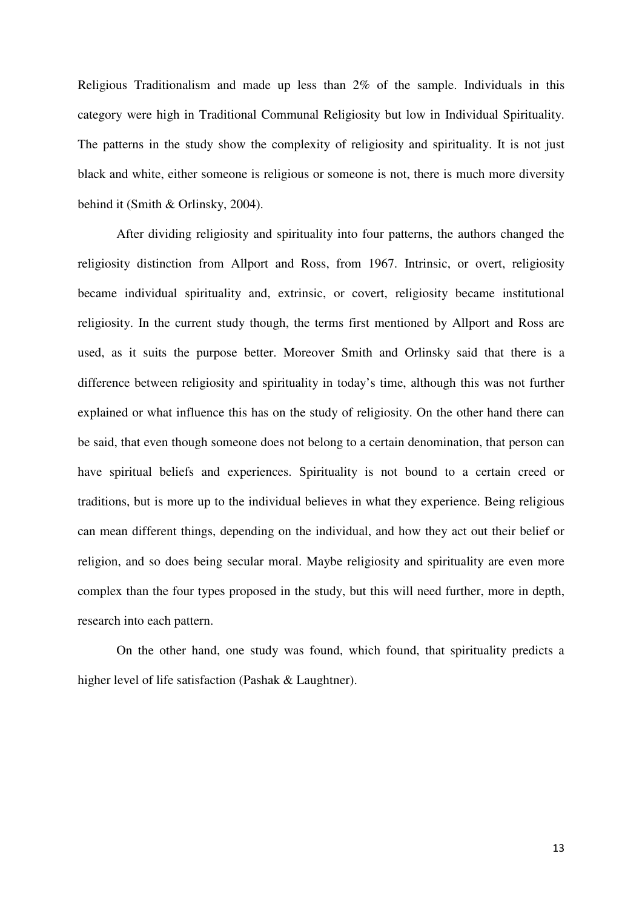Religious Traditionalism and made up less than 2% of the sample. Individuals in this category were high in Traditional Communal Religiosity but low in Individual Spirituality. The patterns in the study show the complexity of religiosity and spirituality. It is not just black and white, either someone is religious or someone is not, there is much more diversity behind it (Smith & Orlinsky, 2004).

After dividing religiosity and spirituality into four patterns, the authors changed the religiosity distinction from Allport and Ross, from 1967. Intrinsic, or overt, religiosity became individual spirituality and, extrinsic, or covert, religiosity became institutional religiosity. In the current study though, the terms first mentioned by Allport and Ross are used, as it suits the purpose better. Moreover Smith and Orlinsky said that there is a difference between religiosity and spirituality in today's time, although this was not further explained or what influence this has on the study of religiosity. On the other hand there can be said, that even though someone does not belong to a certain denomination, that person can have spiritual beliefs and experiences. Spirituality is not bound to a certain creed or traditions, but is more up to the individual believes in what they experience. Being religious can mean different things, depending on the individual, and how they act out their belief or religion, and so does being secular moral. Maybe religiosity and spirituality are even more complex than the four types proposed in the study, but this will need further, more in depth, research into each pattern.

On the other hand, one study was found, which found, that spirituality predicts a higher level of life satisfaction (Pashak & Laughtner).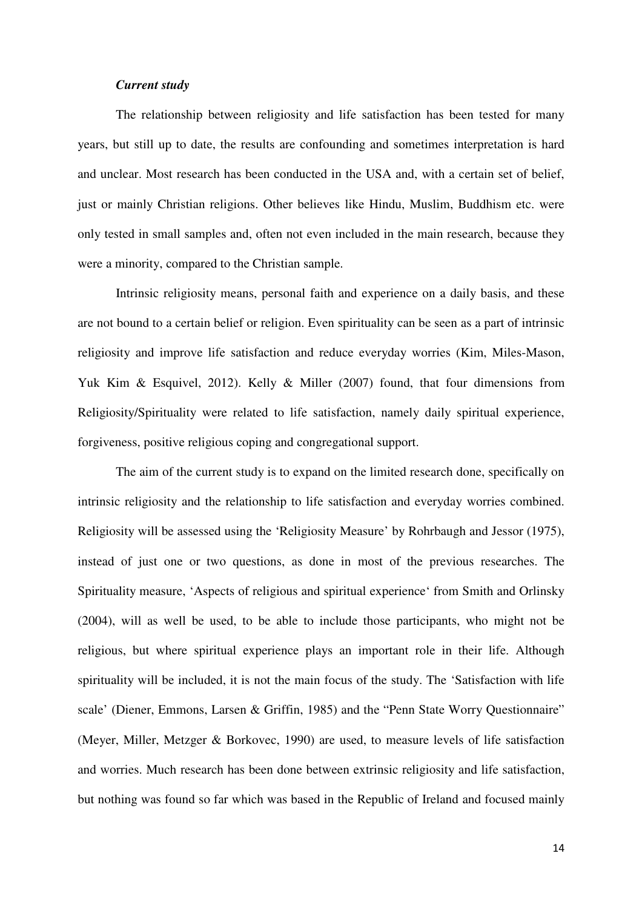#### *Current study*

The relationship between religiosity and life satisfaction has been tested for many years, but still up to date, the results are confounding and sometimes interpretation is hard and unclear. Most research has been conducted in the USA and, with a certain set of belief, just or mainly Christian religions. Other believes like Hindu, Muslim, Buddhism etc. were only tested in small samples and, often not even included in the main research, because they were a minority, compared to the Christian sample.

Intrinsic religiosity means, personal faith and experience on a daily basis, and these are not bound to a certain belief or religion. Even spirituality can be seen as a part of intrinsic religiosity and improve life satisfaction and reduce everyday worries (Kim, Miles-Mason, Yuk Kim & Esquivel, 2012). Kelly & Miller (2007) found, that four dimensions from Religiosity/Spirituality were related to life satisfaction, namely daily spiritual experience, forgiveness, positive religious coping and congregational support.

The aim of the current study is to expand on the limited research done, specifically on intrinsic religiosity and the relationship to life satisfaction and everyday worries combined. Religiosity will be assessed using the 'Religiosity Measure' by Rohrbaugh and Jessor (1975), instead of just one or two questions, as done in most of the previous researches. The Spirituality measure, 'Aspects of religious and spiritual experience' from Smith and Orlinsky (2004), will as well be used, to be able to include those participants, who might not be religious, but where spiritual experience plays an important role in their life. Although spirituality will be included, it is not the main focus of the study. The 'Satisfaction with life scale' (Diener, Emmons, Larsen & Griffin, 1985) and the "Penn State Worry Questionnaire" (Meyer, Miller, Metzger & Borkovec, 1990) are used, to measure levels of life satisfaction and worries. Much research has been done between extrinsic religiosity and life satisfaction, but nothing was found so far which was based in the Republic of Ireland and focused mainly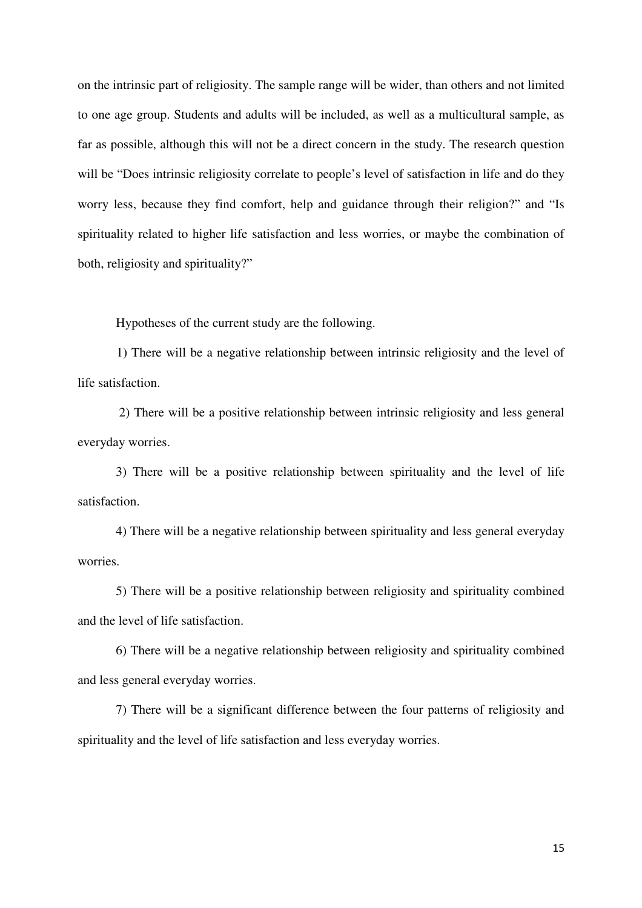on the intrinsic part of religiosity. The sample range will be wider, than others and not limited to one age group. Students and adults will be included, as well as a multicultural sample, as far as possible, although this will not be a direct concern in the study. The research question will be "Does intrinsic religiosity correlate to people's level of satisfaction in life and do they worry less, because they find comfort, help and guidance through their religion?" and "Is spirituality related to higher life satisfaction and less worries, or maybe the combination of both, religiosity and spirituality?"

Hypotheses of the current study are the following.

 1) There will be a negative relationship between intrinsic religiosity and the level of life satisfaction.

 2) There will be a positive relationship between intrinsic religiosity and less general everyday worries.

3) There will be a positive relationship between spirituality and the level of life satisfaction.

4) There will be a negative relationship between spirituality and less general everyday worries.

5) There will be a positive relationship between religiosity and spirituality combined and the level of life satisfaction.

6) There will be a negative relationship between religiosity and spirituality combined and less general everyday worries.

7) There will be a significant difference between the four patterns of religiosity and spirituality and the level of life satisfaction and less everyday worries.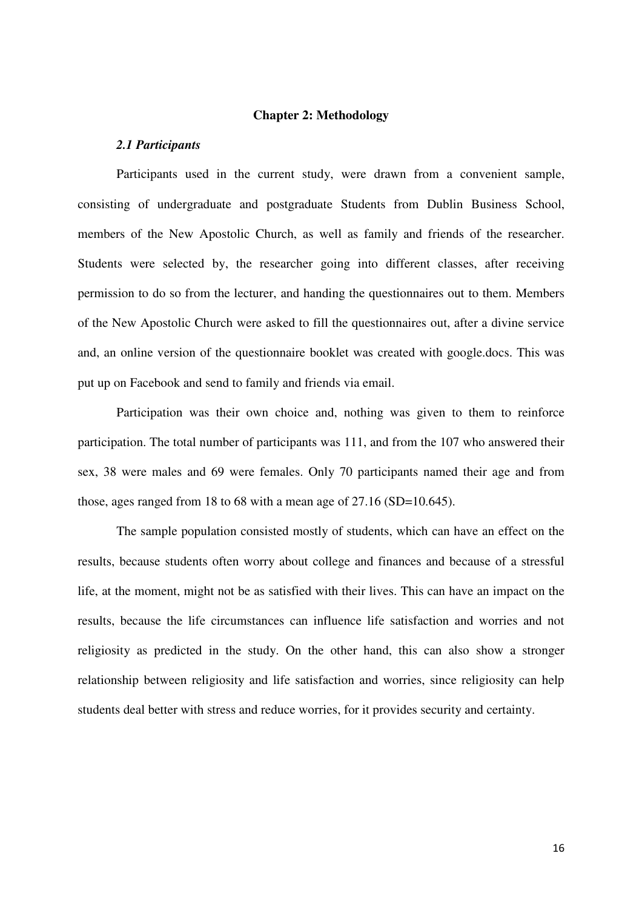#### **Chapter 2: Methodology**

#### *2.1 Participants*

Participants used in the current study, were drawn from a convenient sample, consisting of undergraduate and postgraduate Students from Dublin Business School, members of the New Apostolic Church, as well as family and friends of the researcher. Students were selected by, the researcher going into different classes, after receiving permission to do so from the lecturer, and handing the questionnaires out to them. Members of the New Apostolic Church were asked to fill the questionnaires out, after a divine service and, an online version of the questionnaire booklet was created with google.docs. This was put up on Facebook and send to family and friends via email.

 Participation was their own choice and, nothing was given to them to reinforce participation. The total number of participants was 111, and from the 107 who answered their sex, 38 were males and 69 were females. Only 70 participants named their age and from those, ages ranged from 18 to 68 with a mean age of 27.16 (SD=10.645).

 The sample population consisted mostly of students, which can have an effect on the results, because students often worry about college and finances and because of a stressful life, at the moment, might not be as satisfied with their lives. This can have an impact on the results, because the life circumstances can influence life satisfaction and worries and not religiosity as predicted in the study. On the other hand, this can also show a stronger relationship between religiosity and life satisfaction and worries, since religiosity can help students deal better with stress and reduce worries, for it provides security and certainty.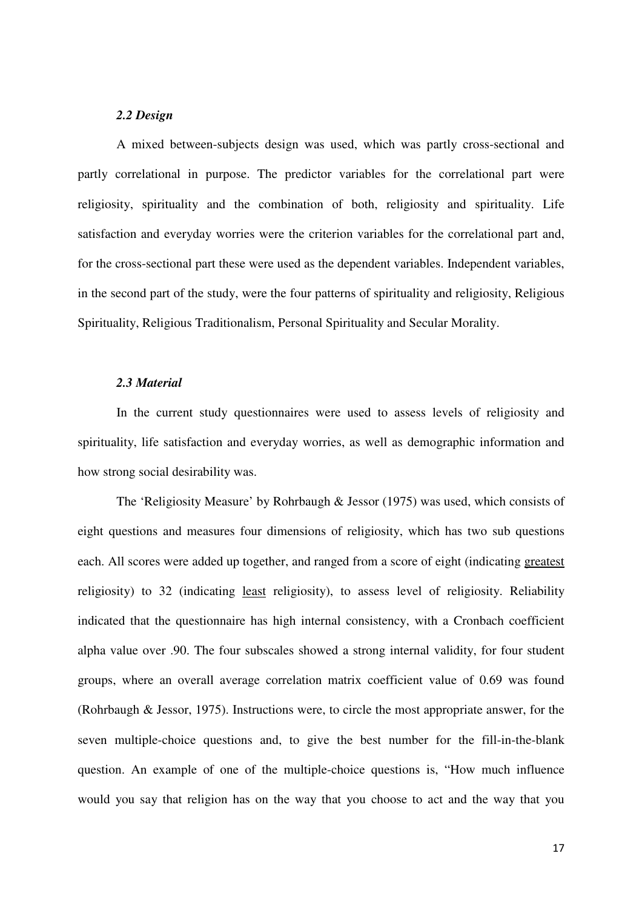#### *2.2 Design*

 A mixed between-subjects design was used, which was partly cross-sectional and partly correlational in purpose. The predictor variables for the correlational part were religiosity, spirituality and the combination of both, religiosity and spirituality. Life satisfaction and everyday worries were the criterion variables for the correlational part and, for the cross-sectional part these were used as the dependent variables. Independent variables, in the second part of the study, were the four patterns of spirituality and religiosity, Religious Spirituality, Religious Traditionalism, Personal Spirituality and Secular Morality.

#### *2.3 Material*

 In the current study questionnaires were used to assess levels of religiosity and spirituality, life satisfaction and everyday worries, as well as demographic information and how strong social desirability was.

The 'Religiosity Measure' by Rohrbaugh & Jessor (1975) was used, which consists of eight questions and measures four dimensions of religiosity, which has two sub questions each. All scores were added up together, and ranged from a score of eight (indicating greatest religiosity) to 32 (indicating least religiosity), to assess level of religiosity. Reliability indicated that the questionnaire has high internal consistency, with a Cronbach coefficient alpha value over .90. The four subscales showed a strong internal validity, for four student groups, where an overall average correlation matrix coefficient value of 0.69 was found (Rohrbaugh & Jessor, 1975). Instructions were, to circle the most appropriate answer, for the seven multiple-choice questions and, to give the best number for the fill-in-the-blank question. An example of one of the multiple-choice questions is, "How much influence would you say that religion has on the way that you choose to act and the way that you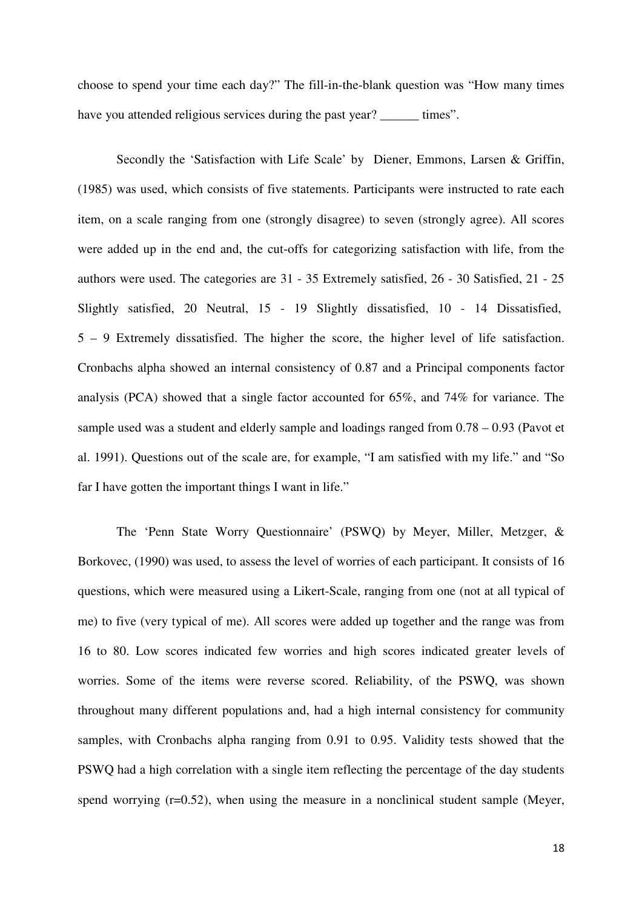choose to spend your time each day?" The fill-in-the-blank question was "How many times have you attended religious services during the past year? times".

Secondly the 'Satisfaction with Life Scale' by Diener, Emmons, Larsen & Griffin, (1985) was used, which consists of five statements. Participants were instructed to rate each item, on a scale ranging from one (strongly disagree) to seven (strongly agree). All scores were added up in the end and, the cut-offs for categorizing satisfaction with life, from the authors were used. The categories are 31 - 35 Extremely satisfied, 26 - 30 Satisfied, 21 - 25 Slightly satisfied, 20 Neutral, 15 - 19 Slightly dissatisfied, 10 - 14 Dissatisfied, 5 – 9 Extremely dissatisfied. The higher the score, the higher level of life satisfaction. Cronbachs alpha showed an internal consistency of 0.87 and a Principal components factor analysis (PCA) showed that a single factor accounted for 65%, and 74% for variance. The sample used was a student and elderly sample and loadings ranged from 0.78 – 0.93 (Pavot et al. 1991). Questions out of the scale are, for example, "I am satisfied with my life." and "So far I have gotten the important things I want in life."

The 'Penn State Worry Questionnaire' (PSWQ) by Meyer, Miller, Metzger, & Borkovec, (1990) was used, to assess the level of worries of each participant. It consists of 16 questions, which were measured using a Likert-Scale, ranging from one (not at all typical of me) to five (very typical of me). All scores were added up together and the range was from 16 to 80. Low scores indicated few worries and high scores indicated greater levels of worries. Some of the items were reverse scored. Reliability, of the PSWQ, was shown throughout many different populations and, had a high internal consistency for community samples, with Cronbachs alpha ranging from 0.91 to 0.95. Validity tests showed that the PSWQ had a high correlation with a single item reflecting the percentage of the day students spend worrying (r=0.52), when using the measure in a nonclinical student sample (Meyer,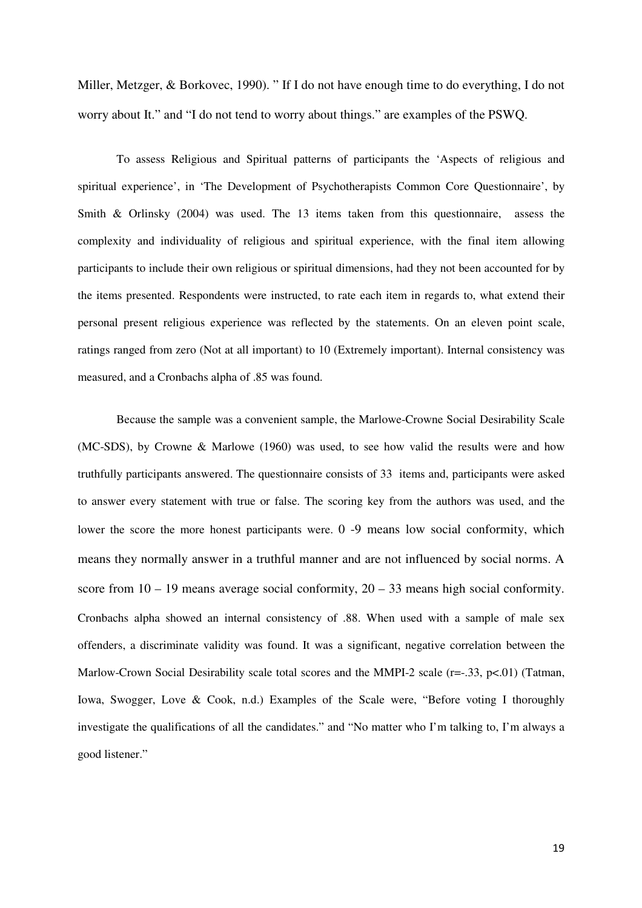Miller, Metzger, & Borkovec, 1990). " If I do not have enough time to do everything, I do not worry about It." and "I do not tend to worry about things." are examples of the PSWQ.

To assess Religious and Spiritual patterns of participants the 'Aspects of religious and spiritual experience', in 'The Development of Psychotherapists Common Core Questionnaire', by Smith & Orlinsky (2004) was used. The 13 items taken from this questionnaire, assess the complexity and individuality of religious and spiritual experience, with the final item allowing participants to include their own religious or spiritual dimensions, had they not been accounted for by the items presented. Respondents were instructed, to rate each item in regards to, what extend their personal present religious experience was reflected by the statements. On an eleven point scale, ratings ranged from zero (Not at all important) to 10 (Extremely important). Internal consistency was measured, and a Cronbachs alpha of .85 was found.

Because the sample was a convenient sample, the Marlowe-Crowne Social Desirability Scale (MC-SDS), by Crowne & Marlowe (1960) was used, to see how valid the results were and how truthfully participants answered. The questionnaire consists of 33 items and, participants were asked to answer every statement with true or false. The scoring key from the authors was used, and the lower the score the more honest participants were. 0 -9 means low social conformity, which means they normally answer in a truthful manner and are not influenced by social norms. A score from  $10 - 19$  means average social conformity,  $20 - 33$  means high social conformity. Cronbachs alpha showed an internal consistency of .88. When used with a sample of male sex offenders, a discriminate validity was found. It was a significant, negative correlation between the Marlow-Crown Social Desirability scale total scores and the MMPI-2 scale ( $r=-33$ ,  $p<-01$ ) (Tatman, Iowa, Swogger, Love & Cook, n.d.) Examples of the Scale were, "Before voting I thoroughly investigate the qualifications of all the candidates." and "No matter who I'm talking to, I'm always a good listener."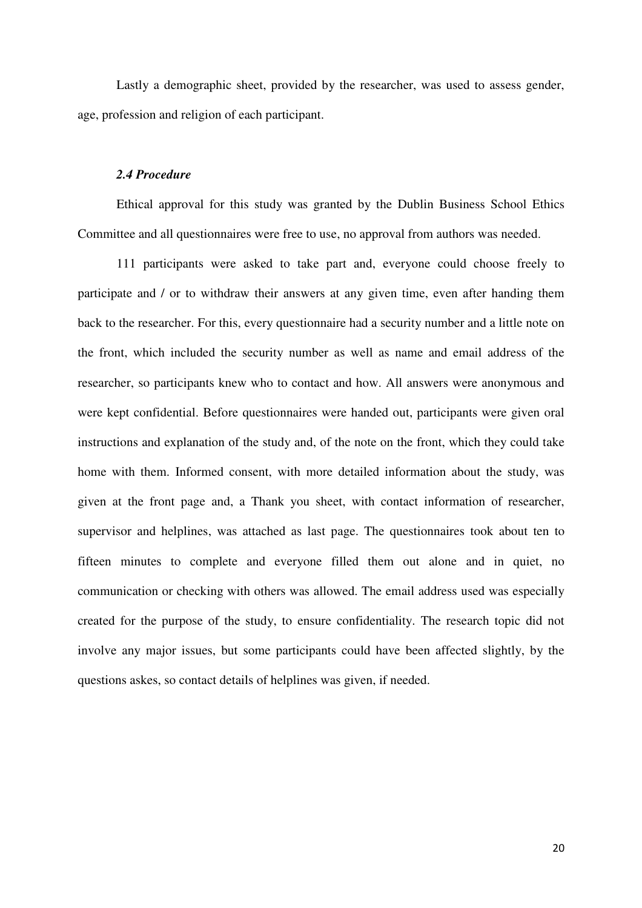Lastly a demographic sheet, provided by the researcher, was used to assess gender, age, profession and religion of each participant.

#### *2.4 Procedure*

 Ethical approval for this study was granted by the Dublin Business School Ethics Committee and all questionnaires were free to use, no approval from authors was needed.

 111 participants were asked to take part and, everyone could choose freely to participate and / or to withdraw their answers at any given time, even after handing them back to the researcher. For this, every questionnaire had a security number and a little note on the front, which included the security number as well as name and email address of the researcher, so participants knew who to contact and how. All answers were anonymous and were kept confidential. Before questionnaires were handed out, participants were given oral instructions and explanation of the study and, of the note on the front, which they could take home with them. Informed consent, with more detailed information about the study, was given at the front page and, a Thank you sheet, with contact information of researcher, supervisor and helplines, was attached as last page. The questionnaires took about ten to fifteen minutes to complete and everyone filled them out alone and in quiet, no communication or checking with others was allowed. The email address used was especially created for the purpose of the study, to ensure confidentiality. The research topic did not involve any major issues, but some participants could have been affected slightly, by the questions askes, so contact details of helplines was given, if needed.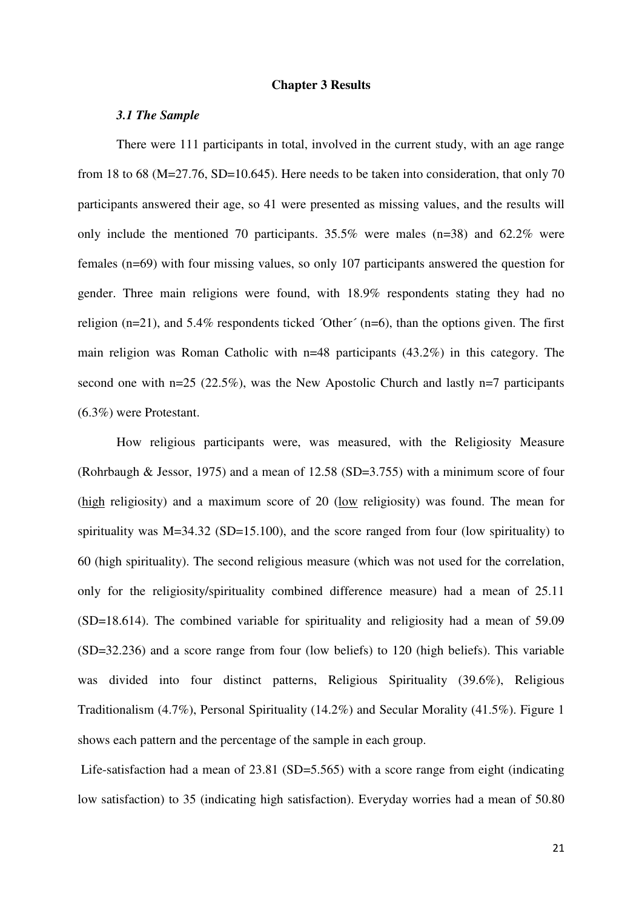#### **Chapter 3 Results**

#### *3.1 The Sample*

 There were 111 participants in total, involved in the current study, with an age range from 18 to 68 (M=27.76, SD=10.645). Here needs to be taken into consideration, that only 70 participants answered their age, so 41 were presented as missing values, and the results will only include the mentioned 70 participants. 35.5% were males (n=38) and 62.2% were females (n=69) with four missing values, so only 107 participants answered the question for gender. Three main religions were found, with 18.9% respondents stating they had no religion (n=21), and 5.4% respondents ticked ´Other´ (n=6), than the options given. The first main religion was Roman Catholic with n=48 participants (43.2%) in this category. The second one with n=25 (22.5%), was the New Apostolic Church and lastly n=7 participants (6.3%) were Protestant.

 How religious participants were, was measured, with the Religiosity Measure (Rohrbaugh & Jessor, 1975) and a mean of 12.58 (SD=3.755) with a minimum score of four (high religiosity) and a maximum score of 20 (low religiosity) was found. The mean for spirituality was  $M=34.32$  (SD=15.100), and the score ranged from four (low spirituality) to 60 (high spirituality). The second religious measure (which was not used for the correlation, only for the religiosity/spirituality combined difference measure) had a mean of 25.11 (SD=18.614). The combined variable for spirituality and religiosity had a mean of 59.09 (SD=32.236) and a score range from four (low beliefs) to 120 (high beliefs). This variable was divided into four distinct patterns, Religious Spirituality (39.6%), Religious Traditionalism (4.7%), Personal Spirituality (14.2%) and Secular Morality (41.5%). Figure 1 shows each pattern and the percentage of the sample in each group.

Life-satisfaction had a mean of 23.81 (SD=5.565) with a score range from eight (indicating low satisfaction) to 35 (indicating high satisfaction). Everyday worries had a mean of 50.80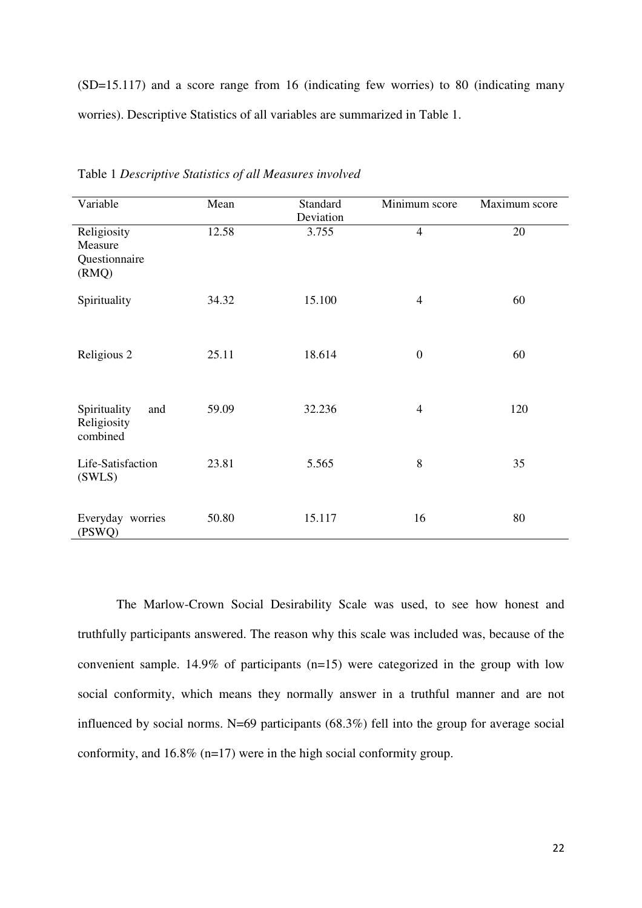(SD=15.117) and a score range from 16 (indicating few worries) to 80 (indicating many worries). Descriptive Statistics of all variables are summarized in Table 1.

| Variable                                         | Mean  | Standard<br>Deviation | Minimum score    | Maximum score |
|--------------------------------------------------|-------|-----------------------|------------------|---------------|
| Religiosity<br>Measure<br>Questionnaire<br>(RMQ) | 12.58 | 3.755                 | $\overline{4}$   | 20            |
| Spirituality                                     | 34.32 | 15.100                | $\overline{4}$   | 60            |
| Religious 2                                      | 25.11 | 18.614                | $\boldsymbol{0}$ | 60            |
| Spirituality<br>and<br>Religiosity<br>combined   | 59.09 | 32.236                | $\overline{4}$   | 120           |
| Life-Satisfaction<br>(SWLS)                      | 23.81 | 5.565                 | 8                | 35            |
| Everyday worries<br>(PSWQ)                       | 50.80 | 15.117                | 16               | 80            |

Table 1 *Descriptive Statistics of all Measures involved*

The Marlow-Crown Social Desirability Scale was used, to see how honest and truthfully participants answered. The reason why this scale was included was, because of the convenient sample. 14.9% of participants (n=15) were categorized in the group with low social conformity, which means they normally answer in a truthful manner and are not influenced by social norms. N=69 participants (68.3%) fell into the group for average social conformity, and 16.8% (n=17) were in the high social conformity group.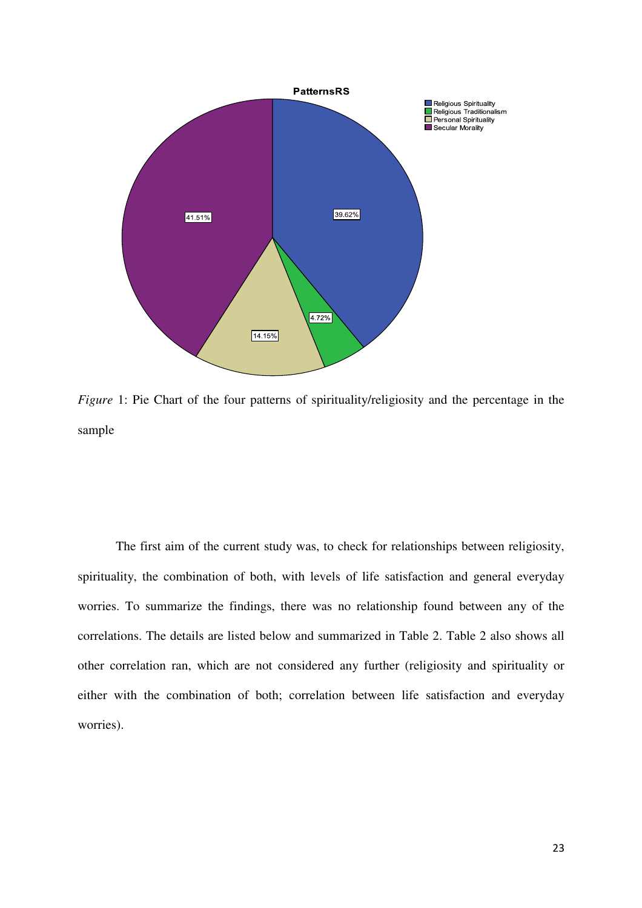

*Figure* 1: Pie Chart of the four patterns of spirituality/religiosity and the percentage in the sample

The first aim of the current study was, to check for relationships between religiosity, spirituality, the combination of both, with levels of life satisfaction and general everyday worries. To summarize the findings, there was no relationship found between any of the correlations. The details are listed below and summarized in Table 2. Table 2 also shows all other correlation ran, which are not considered any further (religiosity and spirituality or either with the combination of both; correlation between life satisfaction and everyday worries).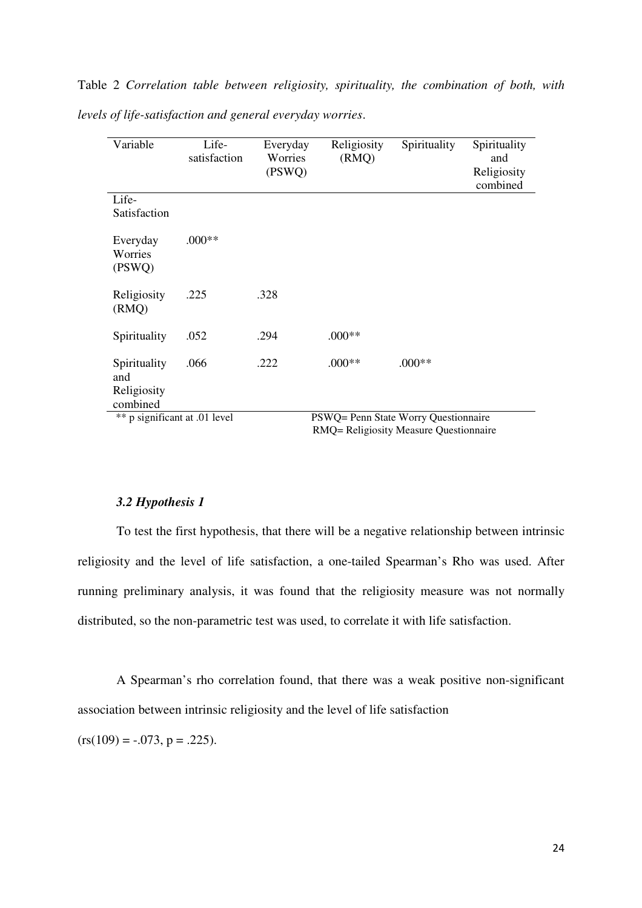Table 2 *Correlation table between religiosity, spirituality, the combination of both, with levels of life-satisfaction and general everyday worries*.

| Variable                                       | Life-<br>satisfaction | Everyday<br>Worries<br>(PSWQ) | Religiosity<br>(RMQ)                 | Spirituality | Spirituality<br>and<br>Religiosity<br>combined |
|------------------------------------------------|-----------------------|-------------------------------|--------------------------------------|--------------|------------------------------------------------|
| Life-<br>Satisfaction                          |                       |                               |                                      |              |                                                |
| Everyday<br>Worries<br>(PSWQ)                  | $.000**$              |                               |                                      |              |                                                |
| Religiosity<br>(RMQ)                           | .225                  | .328                          |                                      |              |                                                |
| Spirituality                                   | .052                  | .294                          | $.000**$                             |              |                                                |
| Spirituality<br>and<br>Religiosity<br>combined | .066                  | .222                          | $.000**$                             | $.000**$     |                                                |
| ** p significant at .01 level                  |                       |                               | PSWQ= Penn State Worry Questionnaire |              |                                                |

RMQ= Religiosity Measure Questionnaire

#### *3.2 Hypothesis 1*

 To test the first hypothesis, that there will be a negative relationship between intrinsic religiosity and the level of life satisfaction, a one-tailed Spearman's Rho was used. After running preliminary analysis, it was found that the religiosity measure was not normally distributed, so the non-parametric test was used, to correlate it with life satisfaction.

 A Spearman's rho correlation found, that there was a weak positive non-significant association between intrinsic religiosity and the level of life satisfaction

 $(rs(109) = -.073, p = .225).$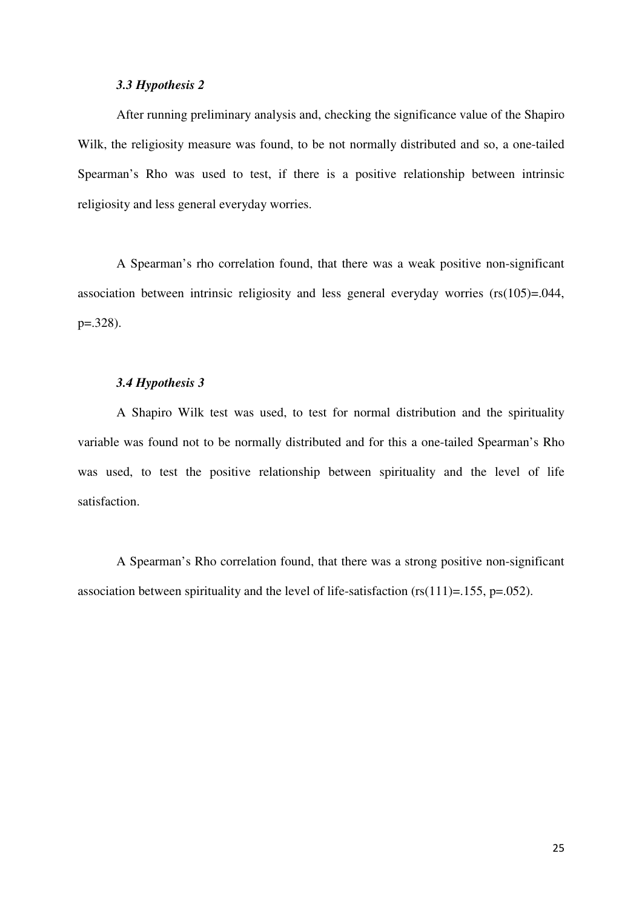#### *3.3 Hypothesis 2*

After running preliminary analysis and, checking the significance value of the Shapiro Wilk, the religiosity measure was found, to be not normally distributed and so, a one-tailed Spearman's Rho was used to test, if there is a positive relationship between intrinsic religiosity and less general everyday worries.

 A Spearman's rho correlation found, that there was a weak positive non-significant association between intrinsic religiosity and less general everyday worries (rs(105)=.044, p=.328).

#### *3.4 Hypothesis 3*

A Shapiro Wilk test was used, to test for normal distribution and the spirituality variable was found not to be normally distributed and for this a one-tailed Spearman's Rho was used, to test the positive relationship between spirituality and the level of life satisfaction.

 A Spearman's Rho correlation found, that there was a strong positive non-significant association between spirituality and the level of life-satisfaction  $(rs(111)=.155, p=.052)$ .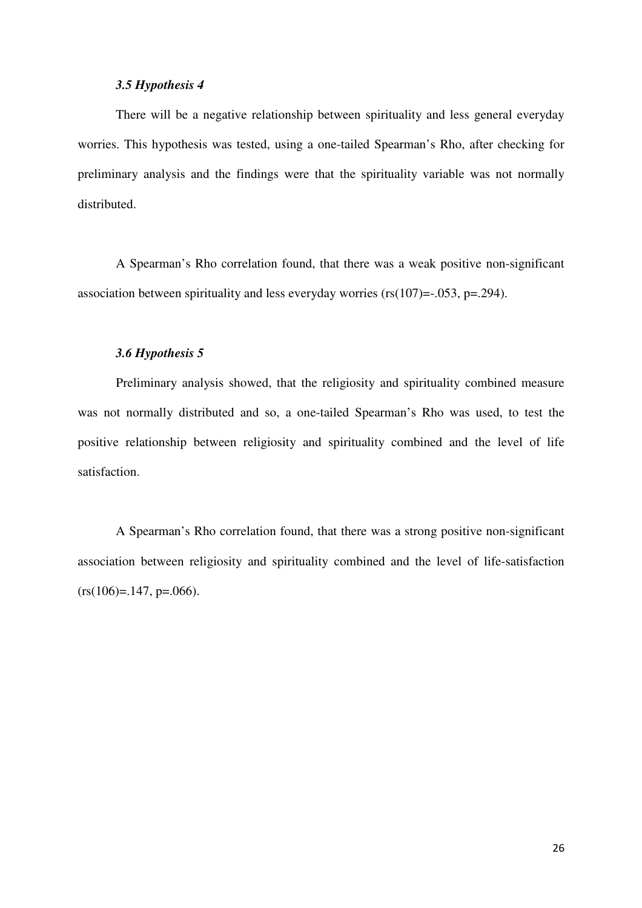#### *3.5 Hypothesis 4*

There will be a negative relationship between spirituality and less general everyday worries. This hypothesis was tested, using a one-tailed Spearman's Rho, after checking for preliminary analysis and the findings were that the spirituality variable was not normally distributed.

A Spearman's Rho correlation found, that there was a weak positive non-significant association between spirituality and less everyday worries ( $rs(107) = -0.053$ ,  $p = -0.294$ ).

#### *3.6 Hypothesis 5*

Preliminary analysis showed, that the religiosity and spirituality combined measure was not normally distributed and so, a one-tailed Spearman's Rho was used, to test the positive relationship between religiosity and spirituality combined and the level of life satisfaction.

A Spearman's Rho correlation found, that there was a strong positive non-significant association between religiosity and spirituality combined and the level of life-satisfaction  $(rs(106)=.147, p=.066)$ .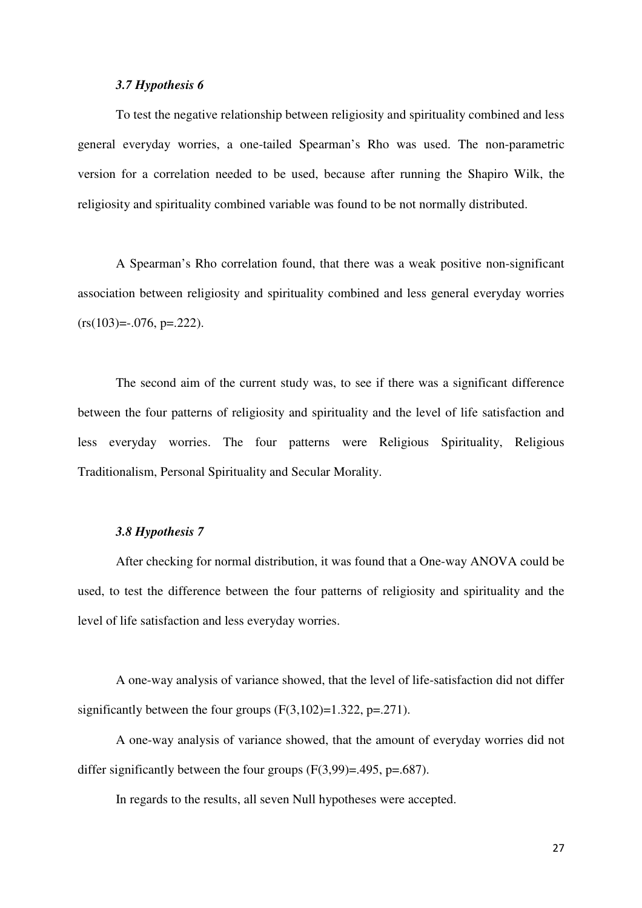#### *3.7 Hypothesis 6*

To test the negative relationship between religiosity and spirituality combined and less general everyday worries, a one-tailed Spearman's Rho was used. The non-parametric version for a correlation needed to be used, because after running the Shapiro Wilk, the religiosity and spirituality combined variable was found to be not normally distributed.

A Spearman's Rho correlation found, that there was a weak positive non-significant association between religiosity and spirituality combined and less general everyday worries  $(rs(103)=0.076, p=.222).$ 

The second aim of the current study was, to see if there was a significant difference between the four patterns of religiosity and spirituality and the level of life satisfaction and less everyday worries. The four patterns were Religious Spirituality, Religious Traditionalism, Personal Spirituality and Secular Morality.

#### *3.8 Hypothesis 7*

After checking for normal distribution, it was found that a One-way ANOVA could be used, to test the difference between the four patterns of religiosity and spirituality and the level of life satisfaction and less everyday worries.

A one-way analysis of variance showed, that the level of life-satisfaction did not differ significantly between the four groups  $(F(3,102)=1.322, p=.271)$ .

A one-way analysis of variance showed, that the amount of everyday worries did not differ significantly between the four groups  $(F(3,99)=.495, p=.687)$ .

In regards to the results, all seven Null hypotheses were accepted.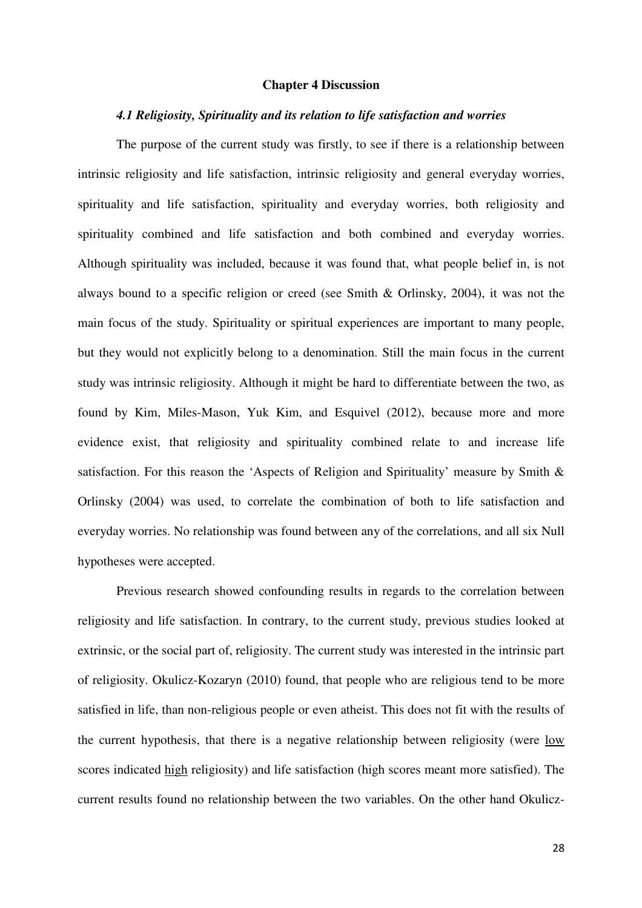#### **Chapter 4 Discussion**

#### *4.1 Religiosity, Spirituality and its relation to life satisfaction and worries*

 The purpose of the current study was firstly, to see if there is a relationship between intrinsic religiosity and life satisfaction, intrinsic religiosity and general everyday worries, spirituality and life satisfaction, spirituality and everyday worries, both religiosity and spirituality combined and life satisfaction and both combined and everyday worries. Although spirituality was included, because it was found that, what people belief in, is not always bound to a specific religion or creed (see Smith & Orlinsky, 2004), it was not the main focus of the study. Spirituality or spiritual experiences are important to many people, but they would not explicitly belong to a denomination. Still the main focus in the current study was intrinsic religiosity. Although it might be hard to differentiate between the two, as found by Kim, Miles-Mason, Yuk Kim, and Esquivel (2012), because more and more evidence exist, that religiosity and spirituality combined relate to and increase life satisfaction. For this reason the 'Aspects of Religion and Spirituality' measure by Smith & Orlinsky (2004) was used, to correlate the combination of both to life satisfaction and everyday worries. No relationship was found between any of the correlations, and all six Null hypotheses were accepted.

 Previous research showed confounding results in regards to the correlation between religiosity and life satisfaction. In contrary, to the current study, previous studies looked at extrinsic, or the social part of, religiosity. The current study was interested in the intrinsic part of religiosity. Okulicz-Kozaryn (2010) found, that people who are religious tend to be more satisfied in life, than non-religious people or even atheist. This does not fit with the results of the current hypothesis, that there is a negative relationship between religiosity (were low scores indicated high religiosity) and life satisfaction (high scores meant more satisfied). The current results found no relationship between the two variables. On the other hand Okulicz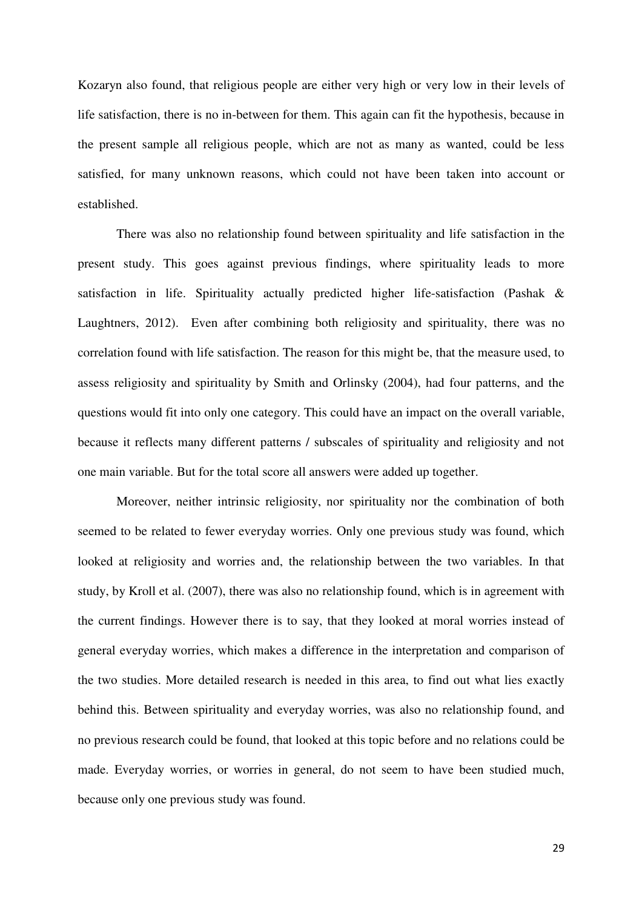Kozaryn also found, that religious people are either very high or very low in their levels of life satisfaction, there is no in-between for them. This again can fit the hypothesis, because in the present sample all religious people, which are not as many as wanted, could be less satisfied, for many unknown reasons, which could not have been taken into account or established.

 There was also no relationship found between spirituality and life satisfaction in the present study. This goes against previous findings, where spirituality leads to more satisfaction in life. Spirituality actually predicted higher life-satisfaction (Pashak & Laughtners, 2012). Even after combining both religiosity and spirituality, there was no correlation found with life satisfaction. The reason for this might be, that the measure used, to assess religiosity and spirituality by Smith and Orlinsky (2004), had four patterns, and the questions would fit into only one category. This could have an impact on the overall variable, because it reflects many different patterns / subscales of spirituality and religiosity and not one main variable. But for the total score all answers were added up together.

 Moreover, neither intrinsic religiosity, nor spirituality nor the combination of both seemed to be related to fewer everyday worries. Only one previous study was found, which looked at religiosity and worries and, the relationship between the two variables. In that study, by Kroll et al. (2007), there was also no relationship found, which is in agreement with the current findings. However there is to say, that they looked at moral worries instead of general everyday worries, which makes a difference in the interpretation and comparison of the two studies. More detailed research is needed in this area, to find out what lies exactly behind this. Between spirituality and everyday worries, was also no relationship found, and no previous research could be found, that looked at this topic before and no relations could be made. Everyday worries, or worries in general, do not seem to have been studied much, because only one previous study was found.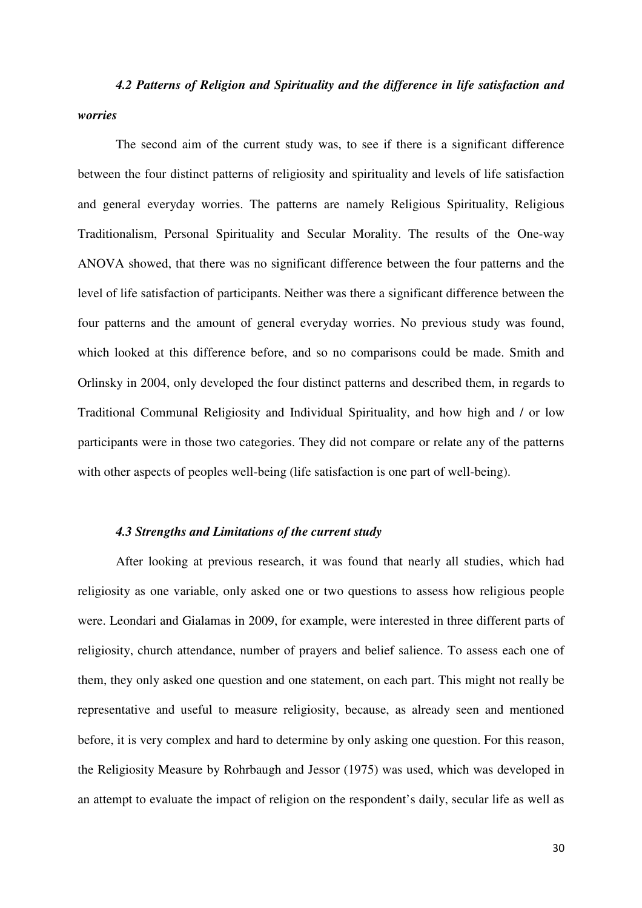*4.2 Patterns of Religion and Spirituality and the difference in life satisfaction and worries*

The second aim of the current study was, to see if there is a significant difference between the four distinct patterns of religiosity and spirituality and levels of life satisfaction and general everyday worries. The patterns are namely Religious Spirituality, Religious Traditionalism, Personal Spirituality and Secular Morality. The results of the One-way ANOVA showed, that there was no significant difference between the four patterns and the level of life satisfaction of participants. Neither was there a significant difference between the four patterns and the amount of general everyday worries. No previous study was found, which looked at this difference before, and so no comparisons could be made. Smith and Orlinsky in 2004, only developed the four distinct patterns and described them, in regards to Traditional Communal Religiosity and Individual Spirituality, and how high and / or low participants were in those two categories. They did not compare or relate any of the patterns with other aspects of peoples well-being (life satisfaction is one part of well-being).

#### *4.3 Strengths and Limitations of the current study*

After looking at previous research, it was found that nearly all studies, which had religiosity as one variable, only asked one or two questions to assess how religious people were. Leondari and Gialamas in 2009, for example, were interested in three different parts of religiosity, church attendance, number of prayers and belief salience. To assess each one of them, they only asked one question and one statement, on each part. This might not really be representative and useful to measure religiosity, because, as already seen and mentioned before, it is very complex and hard to determine by only asking one question. For this reason, the Religiosity Measure by Rohrbaugh and Jessor (1975) was used, which was developed in an attempt to evaluate the impact of religion on the respondent's daily, secular life as well as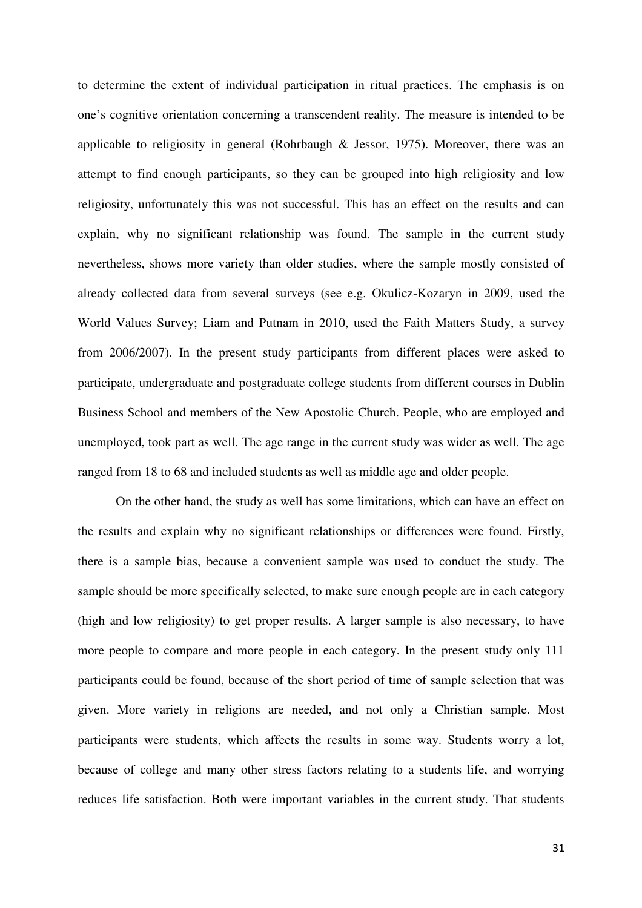to determine the extent of individual participation in ritual practices. The emphasis is on one's cognitive orientation concerning a transcendent reality. The measure is intended to be applicable to religiosity in general (Rohrbaugh  $\&$  Jessor, 1975). Moreover, there was an attempt to find enough participants, so they can be grouped into high religiosity and low religiosity, unfortunately this was not successful. This has an effect on the results and can explain, why no significant relationship was found. The sample in the current study nevertheless, shows more variety than older studies, where the sample mostly consisted of already collected data from several surveys (see e.g. Okulicz-Kozaryn in 2009, used the World Values Survey; Liam and Putnam in 2010, used the Faith Matters Study, a survey from 2006/2007). In the present study participants from different places were asked to participate, undergraduate and postgraduate college students from different courses in Dublin Business School and members of the New Apostolic Church. People, who are employed and unemployed, took part as well. The age range in the current study was wider as well. The age ranged from 18 to 68 and included students as well as middle age and older people.

On the other hand, the study as well has some limitations, which can have an effect on the results and explain why no significant relationships or differences were found. Firstly, there is a sample bias, because a convenient sample was used to conduct the study. The sample should be more specifically selected, to make sure enough people are in each category (high and low religiosity) to get proper results. A larger sample is also necessary, to have more people to compare and more people in each category. In the present study only 111 participants could be found, because of the short period of time of sample selection that was given. More variety in religions are needed, and not only a Christian sample. Most participants were students, which affects the results in some way. Students worry a lot, because of college and many other stress factors relating to a students life, and worrying reduces life satisfaction. Both were important variables in the current study. That students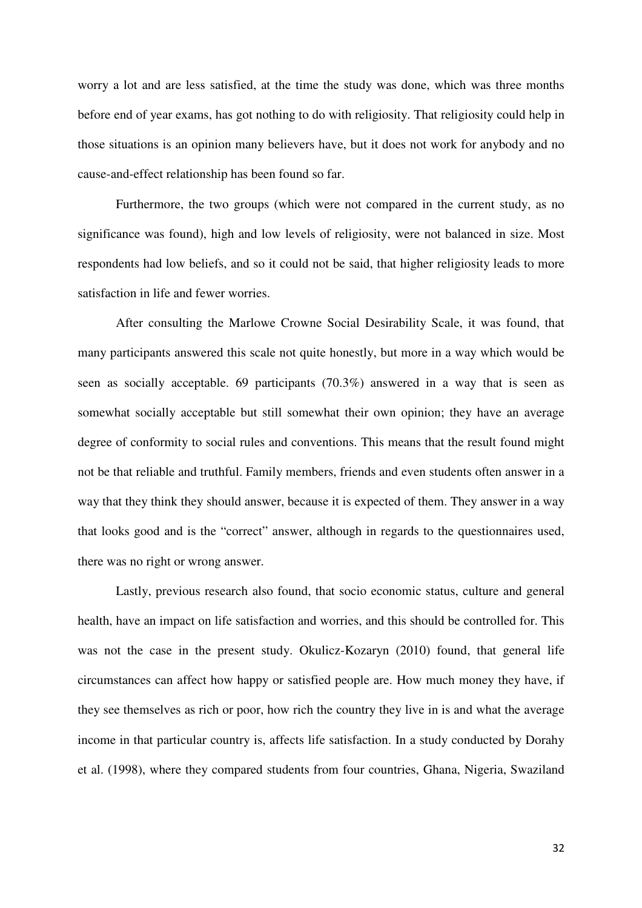worry a lot and are less satisfied, at the time the study was done, which was three months before end of year exams, has got nothing to do with religiosity. That religiosity could help in those situations is an opinion many believers have, but it does not work for anybody and no cause-and-effect relationship has been found so far.

Furthermore, the two groups (which were not compared in the current study, as no significance was found), high and low levels of religiosity, were not balanced in size. Most respondents had low beliefs, and so it could not be said, that higher religiosity leads to more satisfaction in life and fewer worries.

After consulting the Marlowe Crowne Social Desirability Scale, it was found, that many participants answered this scale not quite honestly, but more in a way which would be seen as socially acceptable. 69 participants (70.3%) answered in a way that is seen as somewhat socially acceptable but still somewhat their own opinion; they have an average degree of conformity to social rules and conventions. This means that the result found might not be that reliable and truthful. Family members, friends and even students often answer in a way that they think they should answer, because it is expected of them. They answer in a way that looks good and is the "correct" answer, although in regards to the questionnaires used, there was no right or wrong answer.

Lastly, previous research also found, that socio economic status, culture and general health, have an impact on life satisfaction and worries, and this should be controlled for. This was not the case in the present study. Okulicz-Kozaryn (2010) found, that general life circumstances can affect how happy or satisfied people are. How much money they have, if they see themselves as rich or poor, how rich the country they live in is and what the average income in that particular country is, affects life satisfaction. In a study conducted by Dorahy et al. (1998), where they compared students from four countries, Ghana, Nigeria, Swaziland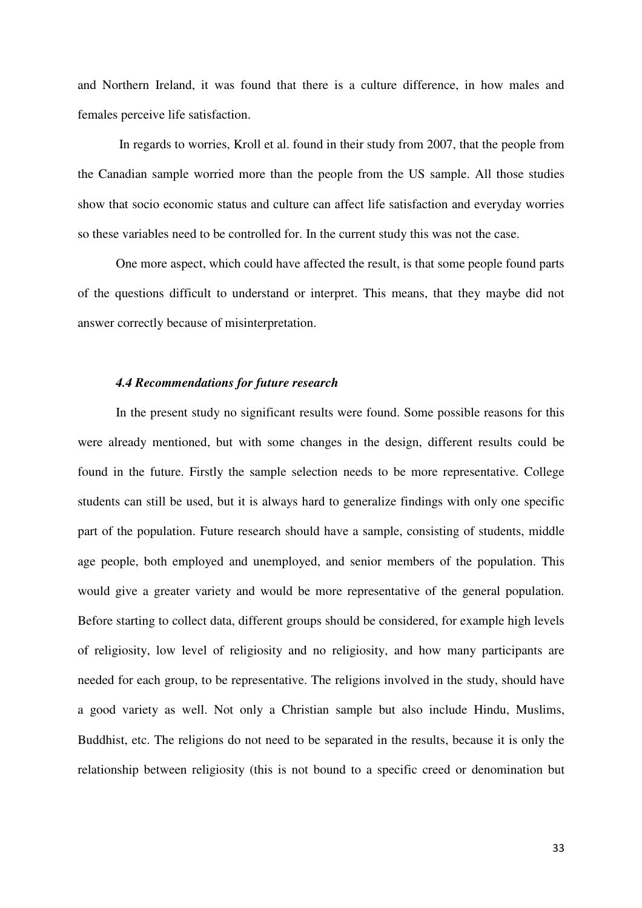and Northern Ireland, it was found that there is a culture difference, in how males and females perceive life satisfaction.

 In regards to worries, Kroll et al. found in their study from 2007, that the people from the Canadian sample worried more than the people from the US sample. All those studies show that socio economic status and culture can affect life satisfaction and everyday worries so these variables need to be controlled for. In the current study this was not the case.

One more aspect, which could have affected the result, is that some people found parts of the questions difficult to understand or interpret. This means, that they maybe did not answer correctly because of misinterpretation.

#### *4.4 Recommendations for future research*

In the present study no significant results were found. Some possible reasons for this were already mentioned, but with some changes in the design, different results could be found in the future. Firstly the sample selection needs to be more representative. College students can still be used, but it is always hard to generalize findings with only one specific part of the population. Future research should have a sample, consisting of students, middle age people, both employed and unemployed, and senior members of the population. This would give a greater variety and would be more representative of the general population. Before starting to collect data, different groups should be considered, for example high levels of religiosity, low level of religiosity and no religiosity, and how many participants are needed for each group, to be representative. The religions involved in the study, should have a good variety as well. Not only a Christian sample but also include Hindu, Muslims, Buddhist, etc. The religions do not need to be separated in the results, because it is only the relationship between religiosity (this is not bound to a specific creed or denomination but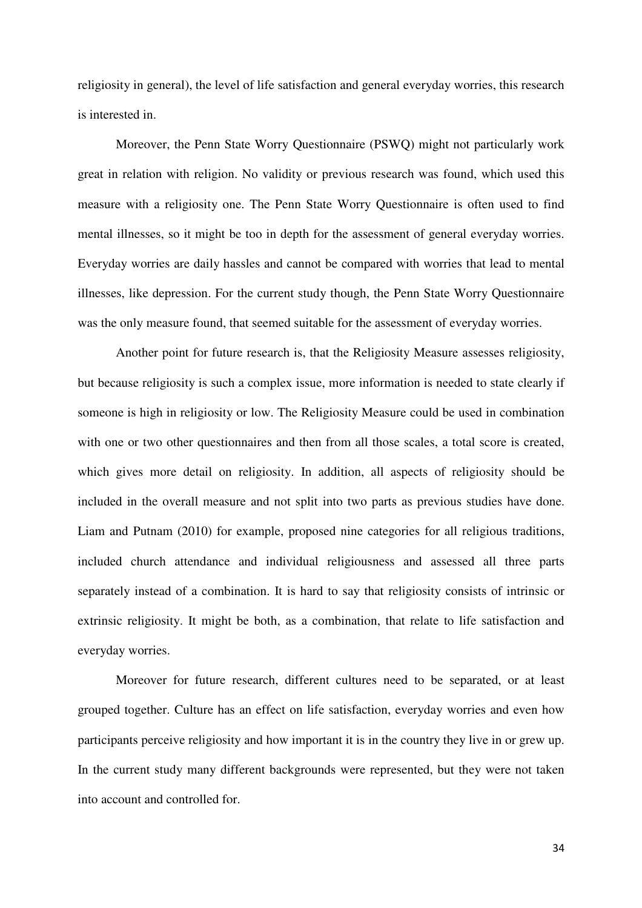religiosity in general), the level of life satisfaction and general everyday worries, this research is interested in.

Moreover, the Penn State Worry Questionnaire (PSWQ) might not particularly work great in relation with religion. No validity or previous research was found, which used this measure with a religiosity one. The Penn State Worry Questionnaire is often used to find mental illnesses, so it might be too in depth for the assessment of general everyday worries. Everyday worries are daily hassles and cannot be compared with worries that lead to mental illnesses, like depression. For the current study though, the Penn State Worry Questionnaire was the only measure found, that seemed suitable for the assessment of everyday worries.

Another point for future research is, that the Religiosity Measure assesses religiosity, but because religiosity is such a complex issue, more information is needed to state clearly if someone is high in religiosity or low. The Religiosity Measure could be used in combination with one or two other questionnaires and then from all those scales, a total score is created, which gives more detail on religiosity. In addition, all aspects of religiosity should be included in the overall measure and not split into two parts as previous studies have done. Liam and Putnam (2010) for example, proposed nine categories for all religious traditions, included church attendance and individual religiousness and assessed all three parts separately instead of a combination. It is hard to say that religiosity consists of intrinsic or extrinsic religiosity. It might be both, as a combination, that relate to life satisfaction and everyday worries.

Moreover for future research, different cultures need to be separated, or at least grouped together. Culture has an effect on life satisfaction, everyday worries and even how participants perceive religiosity and how important it is in the country they live in or grew up. In the current study many different backgrounds were represented, but they were not taken into account and controlled for.

34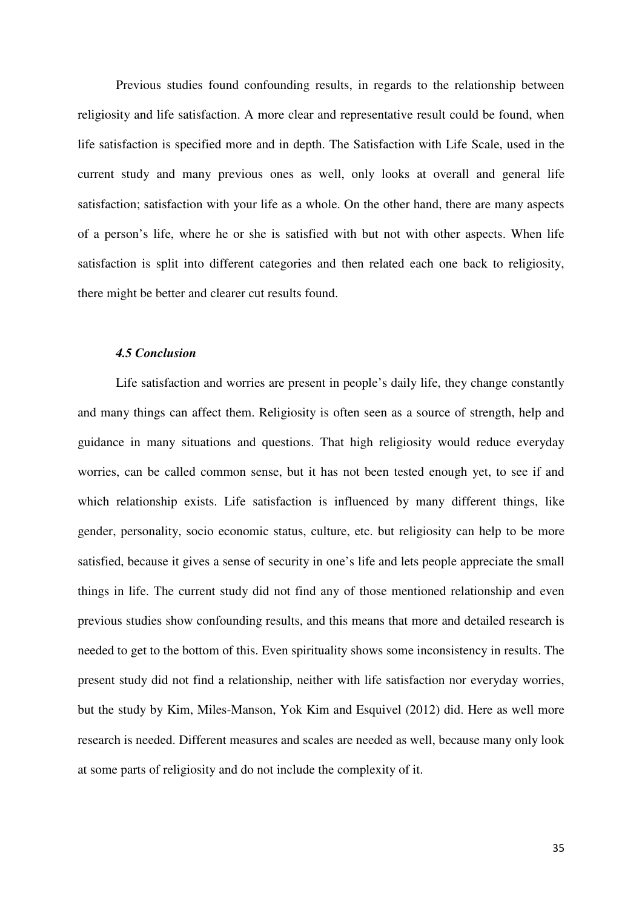Previous studies found confounding results, in regards to the relationship between religiosity and life satisfaction. A more clear and representative result could be found, when life satisfaction is specified more and in depth. The Satisfaction with Life Scale, used in the current study and many previous ones as well, only looks at overall and general life satisfaction; satisfaction with your life as a whole. On the other hand, there are many aspects of a person's life, where he or she is satisfied with but not with other aspects. When life satisfaction is split into different categories and then related each one back to religiosity, there might be better and clearer cut results found.

#### *4.5 Conclusion*

Life satisfaction and worries are present in people's daily life, they change constantly and many things can affect them. Religiosity is often seen as a source of strength, help and guidance in many situations and questions. That high religiosity would reduce everyday worries, can be called common sense, but it has not been tested enough yet, to see if and which relationship exists. Life satisfaction is influenced by many different things, like gender, personality, socio economic status, culture, etc. but religiosity can help to be more satisfied, because it gives a sense of security in one's life and lets people appreciate the small things in life. The current study did not find any of those mentioned relationship and even previous studies show confounding results, and this means that more and detailed research is needed to get to the bottom of this. Even spirituality shows some inconsistency in results. The present study did not find a relationship, neither with life satisfaction nor everyday worries, but the study by Kim, Miles-Manson, Yok Kim and Esquivel (2012) did. Here as well more research is needed. Different measures and scales are needed as well, because many only look at some parts of religiosity and do not include the complexity of it.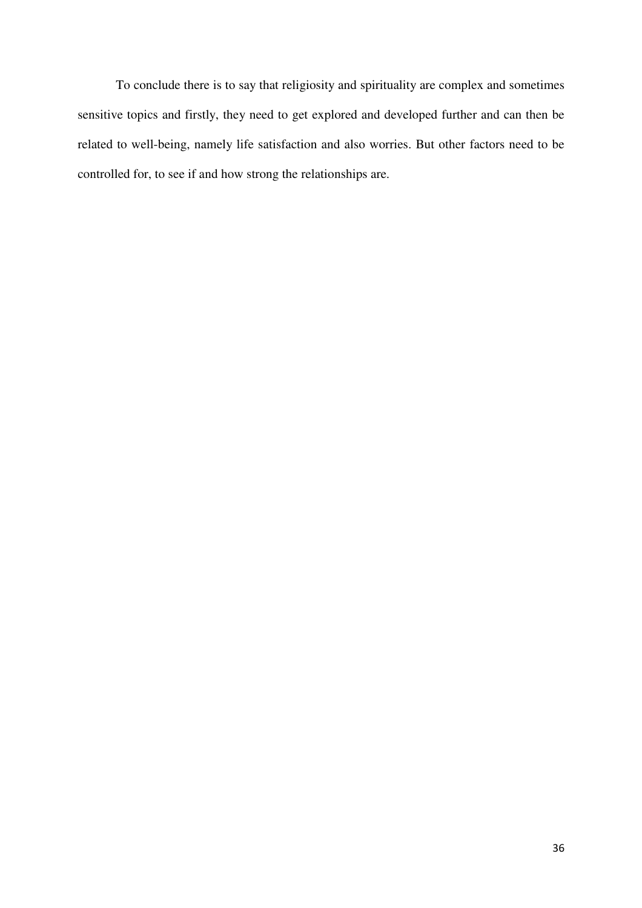To conclude there is to say that religiosity and spirituality are complex and sometimes sensitive topics and firstly, they need to get explored and developed further and can then be related to well-being, namely life satisfaction and also worries. But other factors need to be controlled for, to see if and how strong the relationships are.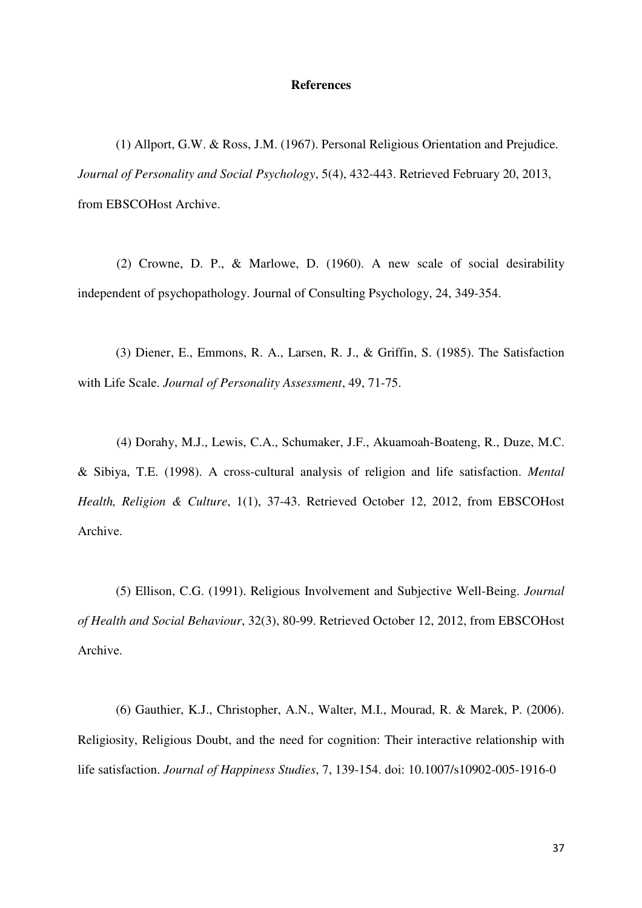#### **References**

(1) Allport, G.W. & Ross, J.M. (1967). Personal Religious Orientation and Prejudice. *Journal of Personality and Social Psychology*, 5(4), 432-443. Retrieved February 20, 2013, from EBSCOHost Archive.

 (2) Crowne, D. P., & Marlowe, D. (1960). A new scale of social desirability independent of psychopathology. Journal of Consulting Psychology, 24, 349-354.

(3) Diener, E., Emmons, R. A., Larsen, R. J., & Griffin, S. (1985). The Satisfaction with Life Scale. *Journal of Personality Assessment*, 49, 71-75.

 (4) Dorahy, M.J., Lewis, C.A., Schumaker, J.F., Akuamoah-Boateng, R., Duze, M.C. & Sibiya, T.E. (1998). A cross-cultural analysis of religion and life satisfaction. *Mental Health, Religion & Culture*, 1(1), 37-43. Retrieved October 12, 2012, from EBSCOHost Archive.

(5) Ellison, C.G. (1991). Religious Involvement and Subjective Well-Being. *Journal of Health and Social Behaviour*, 32(3), 80-99. Retrieved October 12, 2012, from EBSCOHost Archive.

(6) Gauthier, K.J., Christopher, A.N., Walter, M.I., Mourad, R. & Marek, P. (2006). Religiosity, Religious Doubt, and the need for cognition: Their interactive relationship with life satisfaction. *Journal of Happiness Studies*, 7, 139-154. doi: 10.1007/s10902-005-1916-0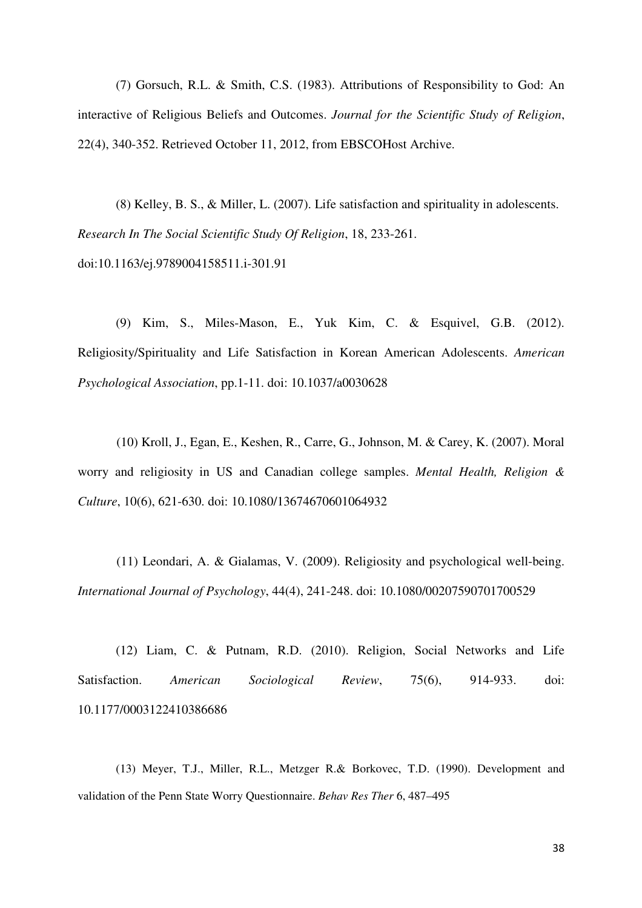(7) Gorsuch, R.L. & Smith, C.S. (1983). Attributions of Responsibility to God: An interactive of Religious Beliefs and Outcomes. *Journal for the Scientific Study of Religion*, 22(4), 340-352. Retrieved October 11, 2012, from EBSCOHost Archive.

(8) Kelley, B. S., & Miller, L. (2007). Life satisfaction and spirituality in adolescents. *Research In The Social Scientific Study Of Religion*, 18, 233-261. doi:10.1163/ej.9789004158511.i-301.91

(9) Kim, S., Miles-Mason, E., Yuk Kim, C. & Esquivel, G.B. (2012). Religiosity/Spirituality and Life Satisfaction in Korean American Adolescents. *American Psychological Association*, pp.1-11. doi: 10.1037/a0030628

 (10) Kroll, J., Egan, E., Keshen, R., Carre, G., Johnson, M. & Carey, K. (2007). Moral worry and religiosity in US and Canadian college samples. *Mental Health, Religion & Culture*, 10(6), 621-630. doi: 10.1080/13674670601064932

 (11) Leondari, A. & Gialamas, V. (2009). Religiosity and psychological well-being. *International Journal of Psychology*, 44(4), 241-248. doi: 10.1080/00207590701700529

(12) Liam, C. & Putnam, R.D. (2010). Religion, Social Networks and Life Satisfaction. *American Sociological Review*, 75(6), 914-933. doi: 10.1177/0003122410386686

(13) Meyer, T.J., Miller, R.L., Metzger R.& Borkovec, T.D. (1990). Development and validation of the Penn State Worry Questionnaire. *Behav Res Ther* 6, 487–495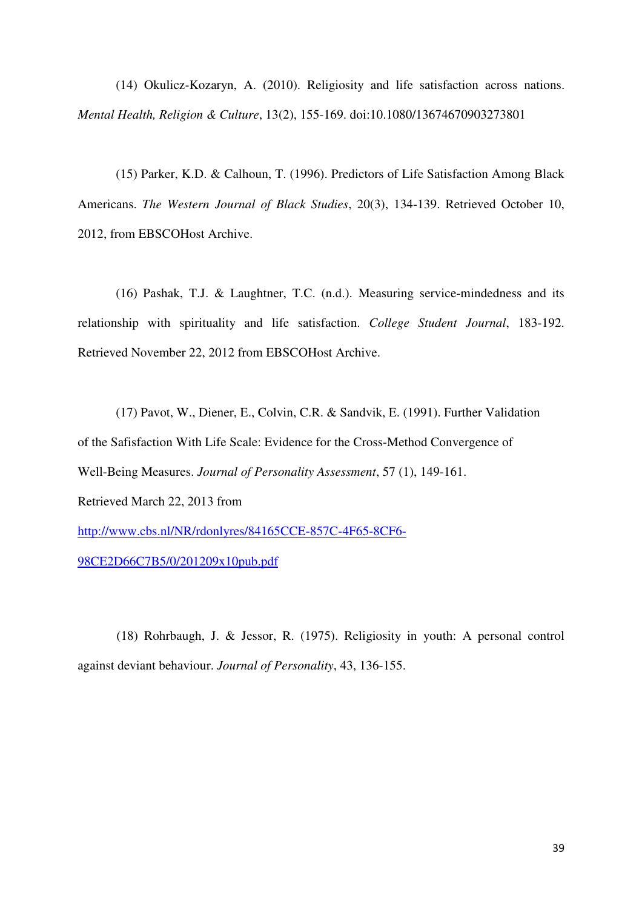(14) Okulicz-Kozaryn, A. (2010). Religiosity and life satisfaction across nations. *Mental Health, Religion & Culture*, 13(2), 155-169. doi:10.1080/13674670903273801

(15) Parker, K.D. & Calhoun, T. (1996). Predictors of Life Satisfaction Among Black Americans. *The Western Journal of Black Studies*, 20(3), 134-139. Retrieved October 10, 2012, from EBSCOHost Archive.

(16) Pashak, T.J. & Laughtner, T.C. (n.d.). Measuring service-mindedness and its relationship with spirituality and life satisfaction. *College Student Journal*, 183-192. Retrieved November 22, 2012 from EBSCOHost Archive.

(17) Pavot, W., Diener, E., Colvin, C.R. & Sandvik, E. (1991). Further Validation of the Safisfaction With Life Scale: Evidence for the Cross-Method Convergence of Well-Being Measures. *Journal of Personality Assessment*, 57 (1), 149-161. Retrieved March 22, 2013 from http://www.cbs.nl/NR/rdonlyres/84165CCE-857C-4F65-8CF6- 98CE2D66C7B5/0/201209x10pub.pdf

(18) Rohrbaugh, J. & Jessor, R. (1975). Religiosity in youth: A personal control against deviant behaviour. *Journal of Personality*, 43, 136-155.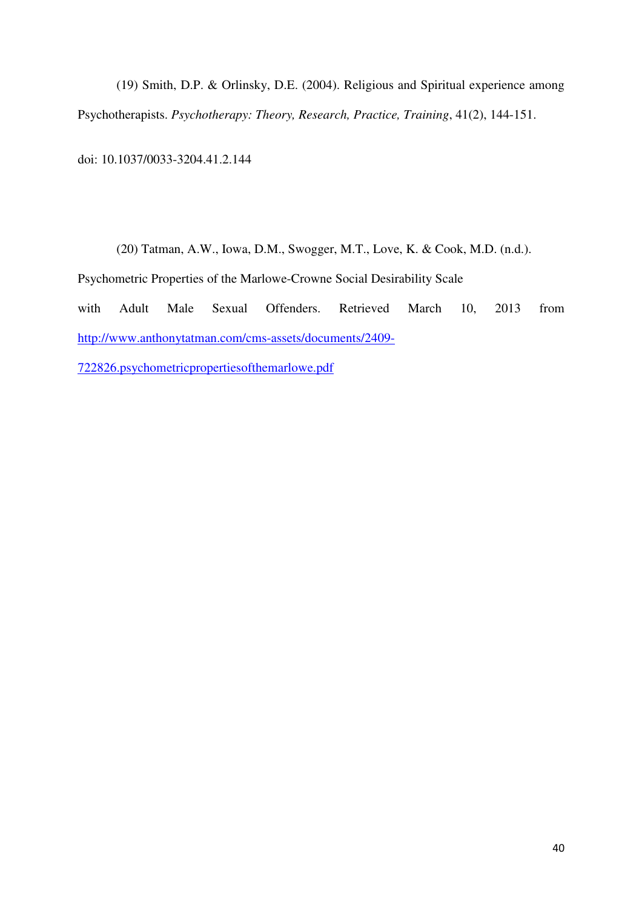(19) Smith, D.P. & Orlinsky, D.E. (2004). Religious and Spiritual experience among Psychotherapists. *Psychotherapy: Theory, Research, Practice, Training*, 41(2), 144-151.

doi: 10.1037/0033-3204.41.2.144

 (20) Tatman, A.W., Iowa, D.M., Swogger, M.T., Love, K. & Cook, M.D. (n.d.). Psychometric Properties of the Marlowe-Crowne Social Desirability Scale with Adult Male Sexual Offenders. Retrieved March 10, 2013 from http://www.anthonytatman.com/cms-assets/documents/2409- 722826.psychometricpropertiesofthemarlowe.pdf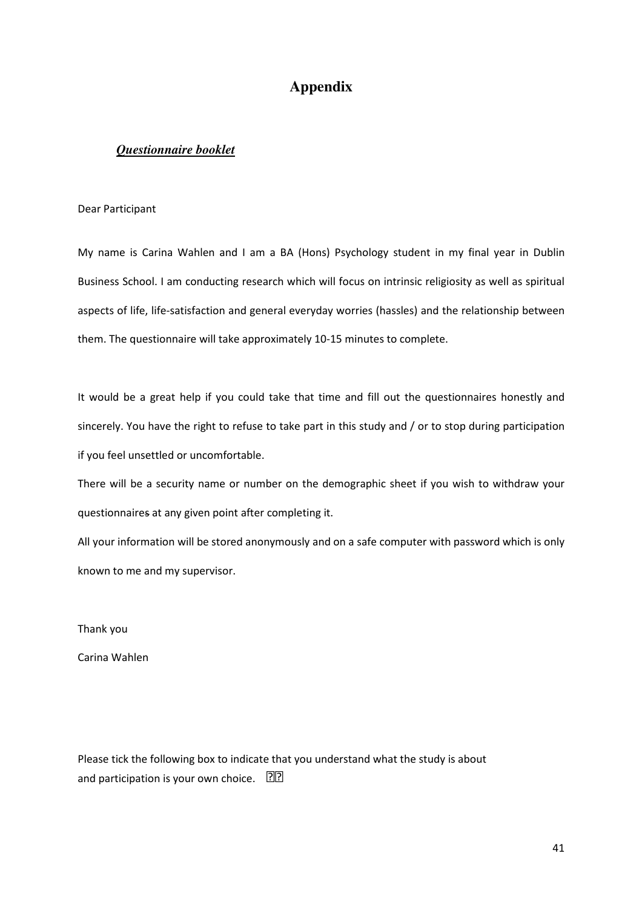# **Appendix**

#### *Questionnaire booklet*

#### Dear Participant

My name is Carina Wahlen and I am a BA (Hons) Psychology student in my final year in Dublin Business School. I am conducting research which will focus on intrinsic religiosity as well as spiritual aspects of life, life-satisfaction and general everyday worries (hassles) and the relationship between them. The questionnaire will take approximately 10-15 minutes to complete.

It would be a great help if you could take that time and fill out the questionnaires honestly and sincerely. You have the right to refuse to take part in this study and / or to stop during participation if you feel unsettled or uncomfortable.

There will be a security name or number on the demographic sheet if you wish to withdraw your questionnaires at any given point after completing it.

All your information will be stored anonymously and on a safe computer with password which is only known to me and my supervisor.

Thank you

Carina Wahlen

Please tick the following box to indicate that you understand what the study is about and participation is your own choice. 22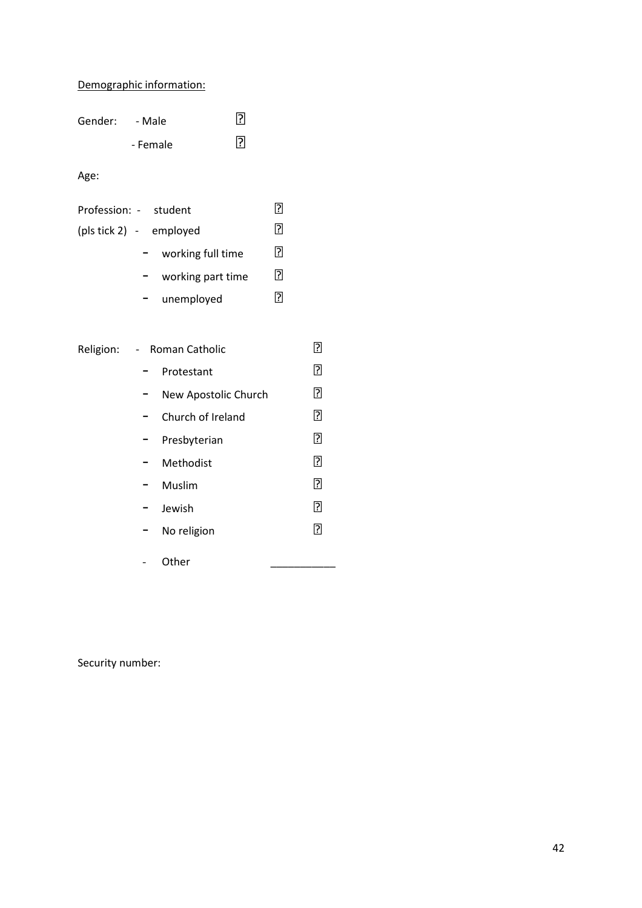## Demographic information:

| Gender: | - Male   | 卪 |
|---------|----------|---|
|         | - Female | 卪 |

Age:

| Profession: - student   | 131 |
|-------------------------|-----|
| (pls tick 2) - employed | ি   |
| working full time       | ମ   |
| working part time       | 3   |
| unemployed              | 1?1 |

|                          | Religion: - Roman Catholic | ?   |
|--------------------------|----------------------------|-----|
|                          | Protestant                 | ႗ြ  |
|                          | New Apostolic Church       | ြု  |
|                          | Church of Ireland          | ႗ြ  |
| Ξ.                       | Presbyterian               | ြ   |
| $\overline{\phantom{0}}$ | Methodist                  | ႗ြ  |
|                          | Muslim                     | ิ้ิ |
| н.                       | Jewish                     | ႗ြ  |
| н.                       | No religion                | ?   |
|                          | Other                      |     |

Security number: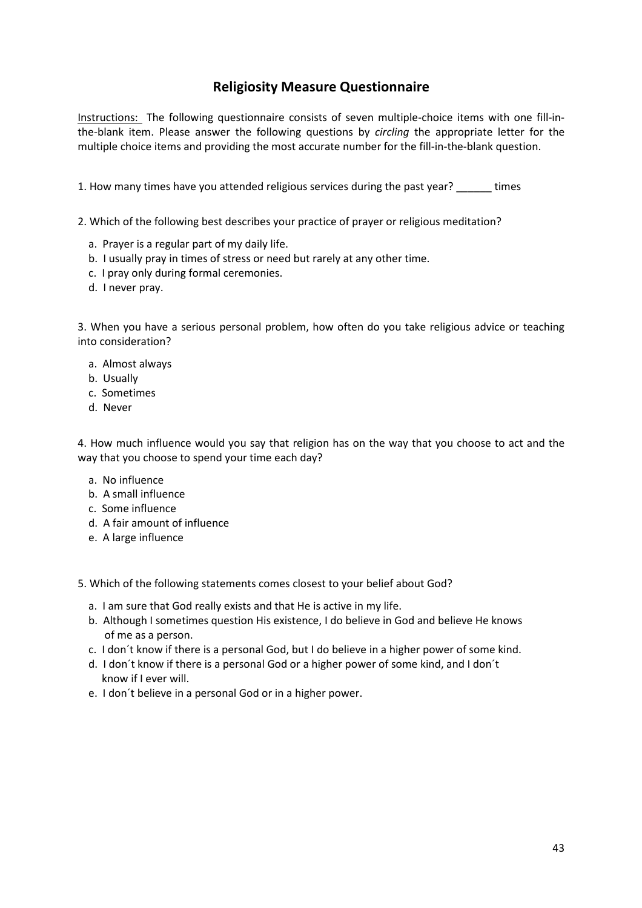# Religiosity Measure Questionnaire

Instructions: The following questionnaire consists of seven multiple-choice items with one fill-inthe-blank item. Please answer the following questions by *circling* the appropriate letter for the multiple choice items and providing the most accurate number for the fill-in-the-blank question.

1. How many times have you attended religious services during the past year? These

2. Which of the following best describes your practice of prayer or religious meditation?

- a. Prayer is a regular part of my daily life.
- b. I usually pray in times of stress or need but rarely at any other time.
- c. I pray only during formal ceremonies.
- d. I never pray.

3. When you have a serious personal problem, how often do you take religious advice or teaching into consideration?

- a. Almost always
- b. Usually
- c. Sometimes
- d. Never

4. How much influence would you say that religion has on the way that you choose to act and the way that you choose to spend your time each day?

- a. No influence
- b. A small influence
- c. Some influence
- d. A fair amount of influence
- e. A large influence

5. Which of the following statements comes closest to your belief about God?

- a. I am sure that God really exists and that He is active in my life.
- b. Although I sometimes question His existence, I do believe in God and believe He knows of me as a person.
- c. I don´t know if there is a personal God, but I do believe in a higher power of some kind.
- d. I don´t know if there is a personal God or a higher power of some kind, and I don´t know if I ever will.
- e. I don´t believe in a personal God or in a higher power.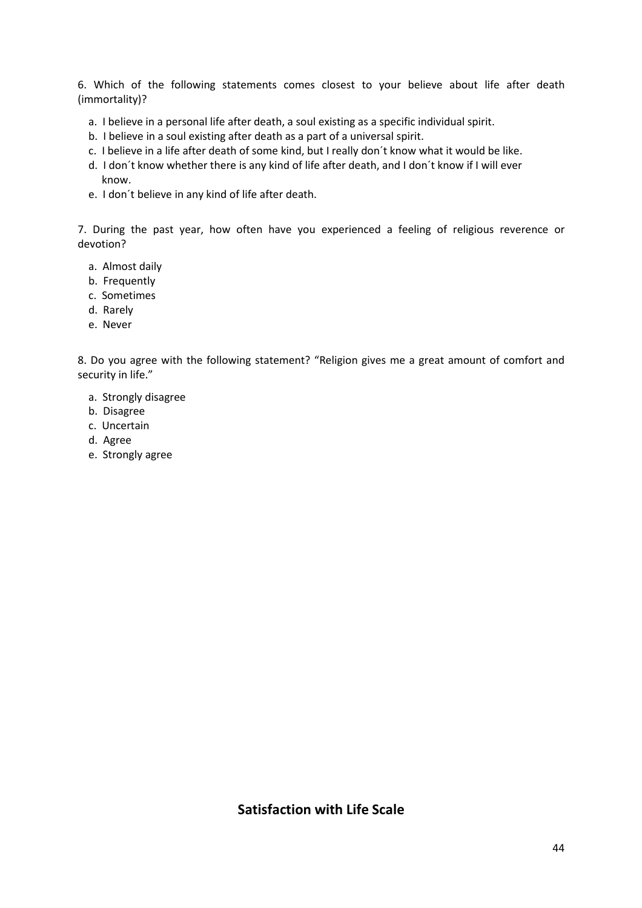6. Which of the following statements comes closest to your believe about life after death (immortality)?

- a. I believe in a personal life after death, a soul existing as a specific individual spirit.
- b. I believe in a soul existing after death as a part of a universal spirit.
- c. I believe in a life after death of some kind, but I really don´t know what it would be like.
- d. I don´t know whether there is any kind of life after death, and I don´t know if I will ever know.
- e. I don´t believe in any kind of life after death.

7. During the past year, how often have you experienced a feeling of religious reverence or devotion?

- a. Almost daily
- b. Frequently
- c. Sometimes
- d. Rarely
- e. Never

8. Do you agree with the following statement? "Religion gives me a great amount of comfort and security in life."

- a. Strongly disagree
- b. Disagree
- c. Uncertain
- d. Agree
- e. Strongly agree

## Satisfaction with Life Scale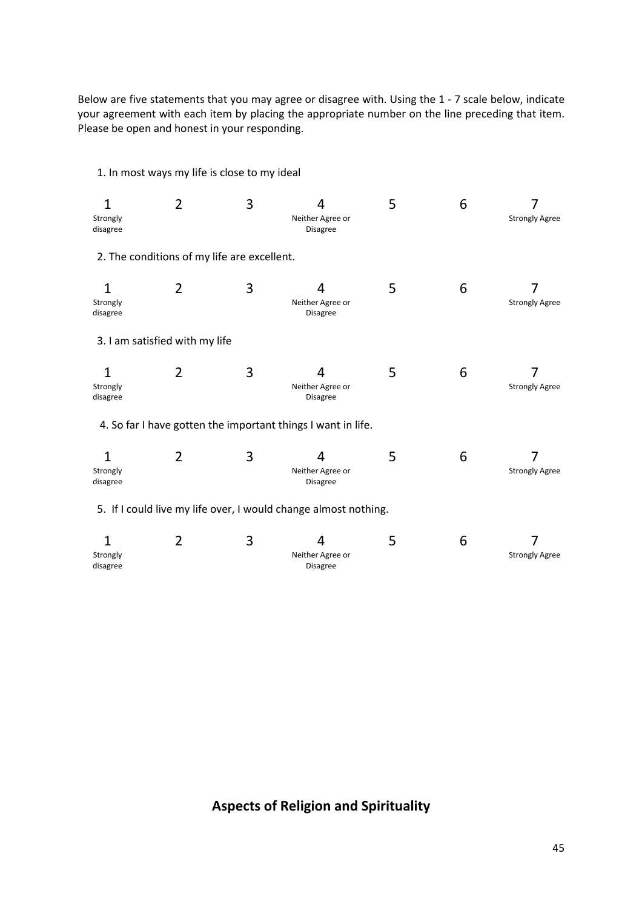Below are five statements that you may agree or disagree with. Using the 1 - 7 scale below, indicate your agreement with each item by placing the appropriate number on the line preceding that item. Please be open and honest in your responding.

1. In most ways my life is close to my ideal 1 2 3 4 5 6 7 Strongly disagree Neither Agree or Disagree Strongly Agree 2. The conditions of my life are excellent. 1 2 3 4 5 6 7 Strongly disagree Neither Agree or Disagree Strongly Agree 3. I am satisfied with my life 1 2 3 4 5 6 7 Strongly disagree Neither Agree or Disagree Strongly Agree 4. So far I have gotten the important things I want in life. 1 2 3 4 5 6 7 Strongly disagree Neither Agree or Disagree Strongly Agree 5. If I could live my life over, I would change almost nothing. 1 2 3 4 5 6 7 Strongly disagree Neither Agree or Disagree Strongly Agree

# Aspects of Religion and Spirituality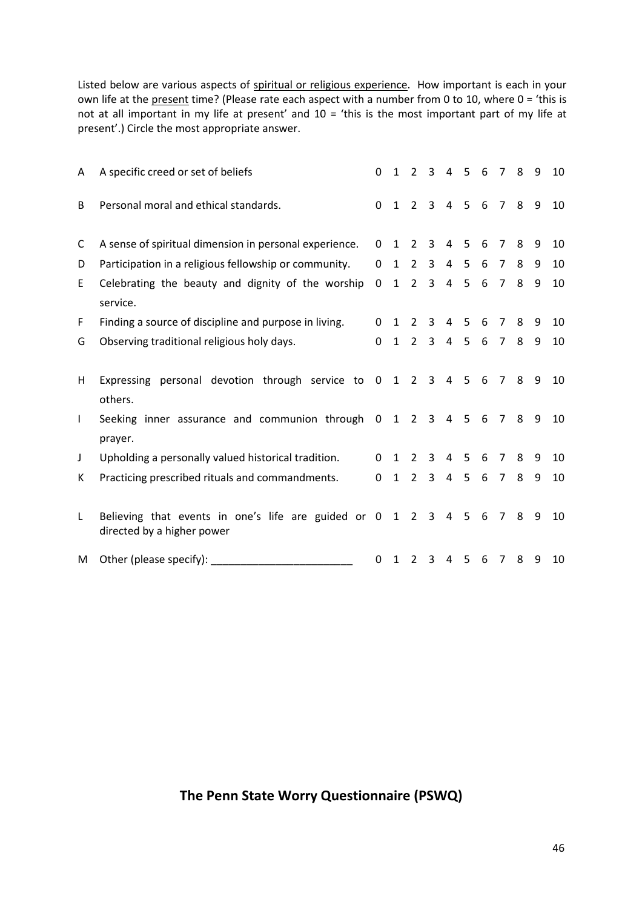Listed below are various aspects of spiritual or religious experience. How important is each in your own life at the present time? (Please rate each aspect with a number from 0 to 10, where 0 = 'this is not at all important in my life at present' and 10 = 'this is the most important part of my life at present'.) Circle the most appropriate answer.

| A            | A specific creed or set of beliefs                                                      | $\Omega$    | $\mathbf{1}$ | $2^{\circ}$    | 3              |                | 4 5            | 6   | $\overline{7}$ | 8  | q   | 10 |
|--------------|-----------------------------------------------------------------------------------------|-------------|--------------|----------------|----------------|----------------|----------------|-----|----------------|----|-----|----|
| B            | Personal moral and ethical standards.                                                   | 0           |              | $1\quad 2$     | $\mathbf{3}$   |                | 4 5 6 7 8 9    |     |                |    |     | 10 |
| C            | A sense of spiritual dimension in personal experience.                                  | 0           | 1            | $\overline{2}$ | 3              | 4              | 5              | 6   | $7^{\circ}$    | 8  | 9   | 10 |
| D            | Participation in a religious fellowship or community.                                   | 0           | $\mathbf{1}$ | $\overline{2}$ | 3              | $\overline{4}$ | 5 <sup>1</sup> | 6   | $7^{\circ}$    | 8  | 9   | 10 |
| E            | Celebrating the beauty and dignity of the worship<br>service.                           | $\mathbf 0$ | $\mathbf{1}$ | $2^{\circ}$    | $\overline{3}$ | $\overline{4}$ | 5 <sub>1</sub> | 6   | $\overline{7}$ | 8  | 9   | 10 |
| F            | Finding a source of discipline and purpose in living.                                   | 0           |              | $1\quad 2$     | 3              |                | 4 <sub>5</sub> | 6   | $7^{\circ}$    | 8  | 9   | 10 |
| G            | Observing traditional religious holy days.                                              | $\Omega$    | $\mathbf{1}$ | $2^{\circ}$    | $\overline{3}$ |                | 4 5 6          |     | 78             |    | - 9 | 10 |
| H            | Expressing personal devotion through service to 0 1 2 3 4 5 6<br>others.                |             |              |                |                |                |                |     | 789            |    |     | 10 |
| $\mathsf{I}$ | Seeking inner assurance and communion through 0 1 2 3 4 5 6 7 8 9<br>prayer.            |             |              |                |                |                |                |     |                |    |     | 10 |
| J            | Upholding a personally valued historical tradition.                                     | $\Omega$    | $1\quad 2$   |                | $\mathbf{3}$   |                | $4\quad 5$     | 6   | $\overline{7}$ | 8  | 9   | 10 |
| К            | Practicing prescribed rituals and commandments.                                         | 0           | 1            | $2^{\circ}$    | $\mathbf{3}$   |                | 4 <sub>5</sub> | 6   | 7 8            |    | 9   | 10 |
| L            | Believing that events in one's life are guided or 0 1 2 3<br>directed by a higher power |             |              |                |                |                | 4 5            | - 6 |                | 78 | - 9 | 10 |
| M            |                                                                                         | 0           | 1            | $2^{\circ}$    | 3              | 4              | $5^{\circ}$    | 6   | 7 8            |    | - 9 | 10 |

## The Penn State Worry Questionnaire (PSWQ)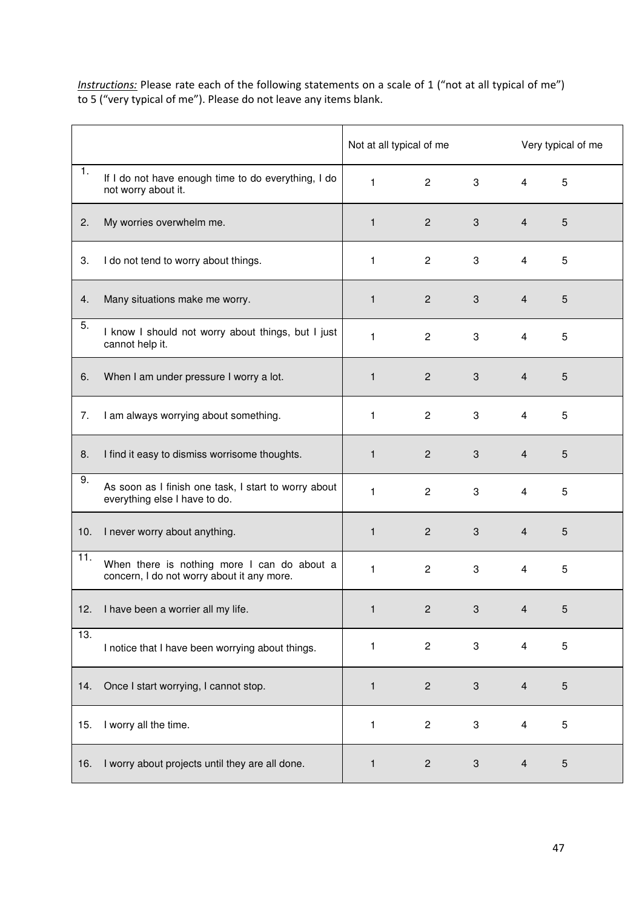Instructions: Please rate each of the following statements on a scale of 1 ("not at all typical of me") to 5 ("very typical of me"). Please do not leave any items blank.

|     |                                                                                           | Not at all typical of me |                  |                           |                         | Very typical of me |
|-----|-------------------------------------------------------------------------------------------|--------------------------|------------------|---------------------------|-------------------------|--------------------|
| 1.  | If I do not have enough time to do everything, I do<br>not worry about it.                | $\mathbf{1}$             | $2^{\circ}$      | $3^{\circ}$               | $\overline{4}$          | 5                  |
| 2.  | My worries overwhelm me.                                                                  | $\mathbf{1}$             | $2^{\circ}$      | 3 <sup>1</sup>            | $\overline{4}$          | 5                  |
| 3.  | I do not tend to worry about things.                                                      | $\mathbf{1}$             | $\mathbf{2}$     | 3                         | $\overline{4}$          | 5                  |
| 4.  | Many situations make me worry.                                                            | $\mathbf{1}$             | $\overline{2}$   | $\mathbf{3}$              | $\overline{4}$          | $5\phantom{.}$     |
| 5.  | I know I should not worry about things, but I just<br>cannot help it.                     | 1                        | $\mathbf{2}$     | 3                         | $\overline{4}$          | 5                  |
| 6.  | When I am under pressure I worry a lot.                                                   | $\mathbf{1}$             | $\mathbf{2}$     | 3                         | $\overline{4}$          | $5\phantom{.}$     |
| 7.  | I am always worrying about something.                                                     | $\mathbf{1}$             | $\overline{2}$   | 3                         | $\overline{4}$          | 5                  |
| 8.  | I find it easy to dismiss worrisome thoughts.                                             | $\mathbf{1}$             | $\mathbf{2}$     | $\mathbf{3}$              | $\overline{4}$          | 5                  |
| 9.  | As soon as I finish one task, I start to worry about<br>everything else I have to do.     | 1                        | $\overline{c}$   | 3                         | $\overline{4}$          | 5                  |
| 10. | I never worry about anything.                                                             | $\mathbf{1}$             | $\overline{c}$   | 3                         | $\overline{4}$          | 5                  |
| 11. | When there is nothing more I can do about a<br>concern, I do not worry about it any more. | $\mathbf{1}$             | $\boldsymbol{2}$ | 3                         | $\overline{4}$          | 5                  |
|     | 12. I have been a worrier all my life.                                                    |                          | $\overline{c}$   | 3                         | $\mathbf{A}$            | 5                  |
| 13. | I notice that I have been worrying about things.                                          | 1                        | $\overline{c}$   | 3                         | $\overline{\mathbf{4}}$ | 5                  |
| 14. | Once I start worrying, I cannot stop.                                                     | $\mathbf{1}$             | $\overline{c}$   | $\mathbf{3}$              | $\overline{\mathbf{4}}$ | 5                  |
| 15. | I worry all the time.                                                                     | 1                        | $\overline{c}$   | 3                         | $\overline{4}$          | 5                  |
| 16. | I worry about projects until they are all done.                                           | 1                        | $\overline{c}$   | $\ensuremath{\mathsf{3}}$ | $\overline{\mathbf{4}}$ | $\sqrt{5}$         |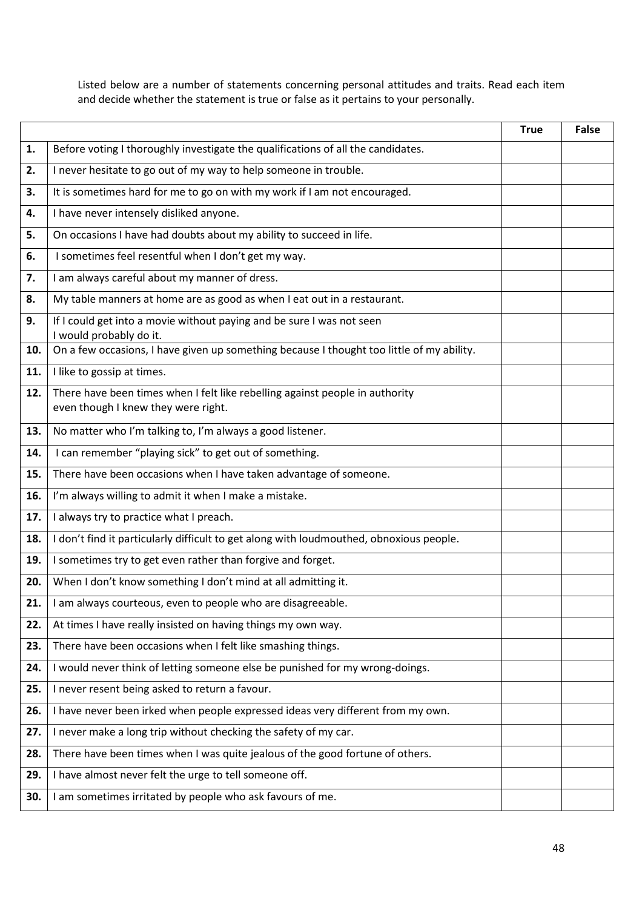Listed below are a number of statements concerning personal attitudes and traits. Read each item and decide whether the statement is true or false as it pertains to your personally.

|     |                                                                                                                     | <b>True</b> | <b>False</b> |
|-----|---------------------------------------------------------------------------------------------------------------------|-------------|--------------|
| 1.  | Before voting I thoroughly investigate the qualifications of all the candidates.                                    |             |              |
| 2.  | I never hesitate to go out of my way to help someone in trouble.                                                    |             |              |
| 3.  | It is sometimes hard for me to go on with my work if I am not encouraged.                                           |             |              |
| 4.  | I have never intensely disliked anyone.                                                                             |             |              |
| 5.  | On occasions I have had doubts about my ability to succeed in life.                                                 |             |              |
| 6.  | I sometimes feel resentful when I don't get my way.                                                                 |             |              |
| 7.  | I am always careful about my manner of dress.                                                                       |             |              |
| 8.  | My table manners at home are as good as when I eat out in a restaurant.                                             |             |              |
| 9.  | If I could get into a movie without paying and be sure I was not seen<br>I would probably do it.                    |             |              |
| 10. | On a few occasions, I have given up something because I thought too little of my ability.                           |             |              |
| 11. | I like to gossip at times.                                                                                          |             |              |
| 12. | There have been times when I felt like rebelling against people in authority<br>even though I knew they were right. |             |              |
| 13. | No matter who I'm talking to, I'm always a good listener.                                                           |             |              |
| 14. | I can remember "playing sick" to get out of something.                                                              |             |              |
| 15. | There have been occasions when I have taken advantage of someone.                                                   |             |              |
| 16. | I'm always willing to admit it when I make a mistake.                                                               |             |              |
| 17. | I always try to practice what I preach.                                                                             |             |              |
| 18. | I don't find it particularly difficult to get along with loudmouthed, obnoxious people.                             |             |              |
| 19. | I sometimes try to get even rather than forgive and forget.                                                         |             |              |
| 20. | When I don't know something I don't mind at all admitting it.                                                       |             |              |
| 21. | I am always courteous, even to people who are disagreeable.                                                         |             |              |
| 22. | At times I have really insisted on having things my own way.                                                        |             |              |
| 23. | There have been occasions when I felt like smashing things.                                                         |             |              |
| 24. | I would never think of letting someone else be punished for my wrong-doings.                                        |             |              |
| 25. | I never resent being asked to return a favour.                                                                      |             |              |
| 26. | I have never been irked when people expressed ideas very different from my own.                                     |             |              |
| 27. | I never make a long trip without checking the safety of my car.                                                     |             |              |
| 28. | There have been times when I was quite jealous of the good fortune of others.                                       |             |              |
| 29. | I have almost never felt the urge to tell someone off.                                                              |             |              |
| 30. | I am sometimes irritated by people who ask favours of me.                                                           |             |              |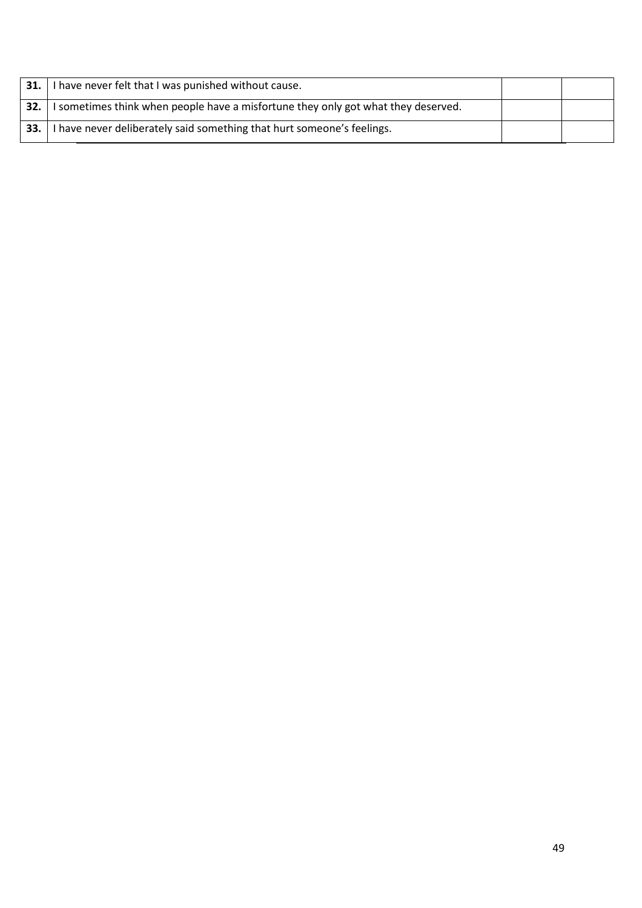| 31. | have never felt that I was punished without cause.                                |  |
|-----|-----------------------------------------------------------------------------------|--|
| 32. | I sometimes think when people have a misfortune they only got what they deserved. |  |
| 33. | have never deliberately said something that hurt someone's feelings.              |  |